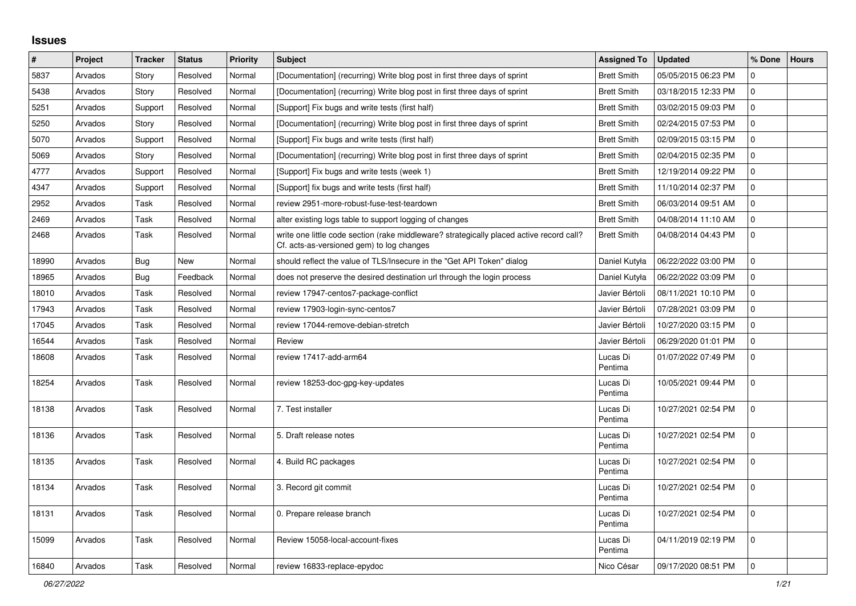## **Issues**

| $\pmb{\#}$ | Project | <b>Tracker</b> | <b>Status</b> | <b>Priority</b> | <b>Subject</b>                                                                                                                        | <b>Assigned To</b>  | <b>Updated</b>      | % Done      | <b>Hours</b> |
|------------|---------|----------------|---------------|-----------------|---------------------------------------------------------------------------------------------------------------------------------------|---------------------|---------------------|-------------|--------------|
| 5837       | Arvados | Story          | Resolved      | Normal          | [Documentation] (recurring) Write blog post in first three days of sprint                                                             | <b>Brett Smith</b>  | 05/05/2015 06:23 PM | 0           |              |
| 5438       | Arvados | Story          | Resolved      | Normal          | [Documentation] (recurring) Write blog post in first three days of sprint                                                             | <b>Brett Smith</b>  | 03/18/2015 12:33 PM | $\mathbf 0$ |              |
| 5251       | Arvados | Support        | Resolved      | Normal          | [Support] Fix bugs and write tests (first half)                                                                                       | <b>Brett Smith</b>  | 03/02/2015 09:03 PM | 0           |              |
| 5250       | Arvados | Story          | Resolved      | Normal          | [Documentation] (recurring) Write blog post in first three days of sprint                                                             | <b>Brett Smith</b>  | 02/24/2015 07:53 PM | $\mathbf 0$ |              |
| 5070       | Arvados | Support        | Resolved      | Normal          | [Support] Fix bugs and write tests (first half)                                                                                       | <b>Brett Smith</b>  | 02/09/2015 03:15 PM | $\mathbf 0$ |              |
| 5069       | Arvados | Story          | Resolved      | Normal          | [Documentation] (recurring) Write blog post in first three days of sprint                                                             | <b>Brett Smith</b>  | 02/04/2015 02:35 PM | $\Omega$    |              |
| 4777       | Arvados | Support        | Resolved      | Normal          | [Support] Fix bugs and write tests (week 1)                                                                                           | <b>Brett Smith</b>  | 12/19/2014 09:22 PM | $\mathbf 0$ |              |
| 4347       | Arvados | Support        | Resolved      | Normal          | [Support] fix bugs and write tests (first half)                                                                                       | <b>Brett Smith</b>  | 11/10/2014 02:37 PM | $\mathbf 0$ |              |
| 2952       | Arvados | Task           | Resolved      | Normal          | review 2951-more-robust-fuse-test-teardown                                                                                            | <b>Brett Smith</b>  | 06/03/2014 09:51 AM | $\Omega$    |              |
| 2469       | Arvados | Task           | Resolved      | Normal          | alter existing logs table to support logging of changes                                                                               | <b>Brett Smith</b>  | 04/08/2014 11:10 AM | $\Omega$    |              |
| 2468       | Arvados | Task           | Resolved      | Normal          | write one little code section (rake middleware? strategically placed active record call?<br>Cf. acts-as-versioned gem) to log changes | <b>Brett Smith</b>  | 04/08/2014 04:43 PM | $\Omega$    |              |
| 18990      | Arvados | <b>Bug</b>     | New           | Normal          | should reflect the value of TLS/Insecure in the "Get API Token" dialog                                                                | Daniel Kutyła       | 06/22/2022 03:00 PM | $\Omega$    |              |
| 18965      | Arvados | Bug            | Feedback      | Normal          | does not preserve the desired destination url through the login process                                                               | Daniel Kutyła       | 06/22/2022 03:09 PM | $\mathbf 0$ |              |
| 18010      | Arvados | Task           | Resolved      | Normal          | review 17947-centos7-package-conflict                                                                                                 | Javier Bértoli      | 08/11/2021 10:10 PM | $\Omega$    |              |
| 17943      | Arvados | Task           | Resolved      | Normal          | review 17903-login-sync-centos7                                                                                                       | Javier Bértoli      | 07/28/2021 03:09 PM | $\mathbf 0$ |              |
| 17045      | Arvados | Task           | Resolved      | Normal          | review 17044-remove-debian-stretch                                                                                                    | Javier Bértoli      | 10/27/2020 03:15 PM | 0           |              |
| 16544      | Arvados | Task           | Resolved      | Normal          | Review                                                                                                                                | Javier Bértoli      | 06/29/2020 01:01 PM | $\mathbf 0$ |              |
| 18608      | Arvados | Task           | Resolved      | Normal          | review 17417-add-arm64                                                                                                                | Lucas Di<br>Pentima | 01/07/2022 07:49 PM | $\Omega$    |              |
| 18254      | Arvados | Task           | Resolved      | Normal          | review 18253-doc-gpg-key-updates                                                                                                      | Lucas Di<br>Pentima | 10/05/2021 09:44 PM | $\Omega$    |              |
| 18138      | Arvados | Task           | Resolved      | Normal          | 7. Test installer                                                                                                                     | Lucas Di<br>Pentima | 10/27/2021 02:54 PM | $\Omega$    |              |
| 18136      | Arvados | Task           | Resolved      | Normal          | 5. Draft release notes                                                                                                                | Lucas Di<br>Pentima | 10/27/2021 02:54 PM | $\mathbf 0$ |              |
| 18135      | Arvados | Task           | Resolved      | Normal          | 4. Build RC packages                                                                                                                  | Lucas Di<br>Pentima | 10/27/2021 02:54 PM | $\Omega$    |              |
| 18134      | Arvados | Task           | Resolved      | Normal          | 3. Record git commit                                                                                                                  | Lucas Di<br>Pentima | 10/27/2021 02:54 PM | $\Omega$    |              |
| 18131      | Arvados | Task           | Resolved      | Normal          | 0. Prepare release branch                                                                                                             | Lucas Di<br>Pentima | 10/27/2021 02:54 PM | $\Omega$    |              |
| 15099      | Arvados | Task           | Resolved      | Normal          | Review 15058-local-account-fixes                                                                                                      | Lucas Di<br>Pentima | 04/11/2019 02:19 PM | $\mathbf 0$ |              |
| 16840      | Arvados | Task           | Resolved      | Normal          | review 16833-replace-epydoc                                                                                                           | Nico César          | 09/17/2020 08:51 PM | $\Omega$    |              |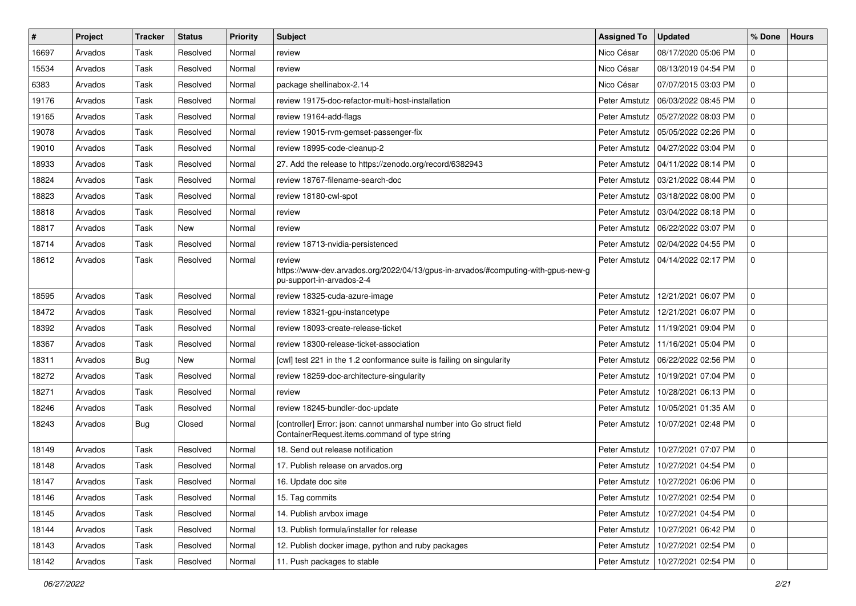| $\pmb{\#}$ | Project | <b>Tracker</b> | <b>Status</b> | <b>Priority</b> | Subject                                                                                                                  | <b>Assigned To</b> | <b>Updated</b>                      | ∣% Done     | <b>Hours</b> |
|------------|---------|----------------|---------------|-----------------|--------------------------------------------------------------------------------------------------------------------------|--------------------|-------------------------------------|-------------|--------------|
| 16697      | Arvados | Task           | Resolved      | Normal          | review                                                                                                                   | Nico César         | 08/17/2020 05:06 PM                 | $\Omega$    |              |
| 15534      | Arvados | Task           | Resolved      | Normal          | review                                                                                                                   | Nico César         | 08/13/2019 04:54 PM                 | $\Omega$    |              |
| 6383       | Arvados | Task           | Resolved      | Normal          | package shellinabox-2.14                                                                                                 | Nico César         | 07/07/2015 03:03 PM                 | $\Omega$    |              |
| 19176      | Arvados | Task           | Resolved      | Normal          | review 19175-doc-refactor-multi-host-installation                                                                        | Peter Amstutz      | 06/03/2022 08:45 PM                 | $\Omega$    |              |
| 19165      | Arvados | Task           | Resolved      | Normal          | review 19164-add-flags                                                                                                   | Peter Amstutz      | 05/27/2022 08:03 PM                 | 0           |              |
| 19078      | Arvados | Task           | Resolved      | Normal          | review 19015-rvm-gemset-passenger-fix                                                                                    | Peter Amstutz      | 05/05/2022 02:26 PM                 | 0           |              |
| 19010      | Arvados | Task           | Resolved      | Normal          | review 18995-code-cleanup-2                                                                                              | Peter Amstutz      | 04/27/2022 03:04 PM                 | $\Omega$    |              |
| 18933      | Arvados | Task           | Resolved      | Normal          | 27. Add the release to https://zenodo.org/record/6382943                                                                 | Peter Amstutz      | 04/11/2022 08:14 PM                 | $\Omega$    |              |
| 18824      | Arvados | Task           | Resolved      | Normal          | review 18767-filename-search-doc                                                                                         | Peter Amstutz      | 03/21/2022 08:44 PM                 | $\Omega$    |              |
| 18823      | Arvados | Task           | Resolved      | Normal          | review 18180-cwl-spot                                                                                                    | Peter Amstutz      | 03/18/2022 08:00 PM                 | $\Omega$    |              |
| 18818      | Arvados | Task           | Resolved      | Normal          | review                                                                                                                   | Peter Amstutz      | 03/04/2022 08:18 PM                 | 0           |              |
| 18817      | Arvados | Task           | <b>New</b>    | Normal          | review                                                                                                                   | Peter Amstutz      | 06/22/2022 03:07 PM                 | $\Omega$    |              |
| 18714      | Arvados | Task           | Resolved      | Normal          | review 18713-nvidia-persistenced                                                                                         | Peter Amstutz      | 02/04/2022 04:55 PM                 | $\mathbf 0$ |              |
| 18612      | Arvados | Task           | Resolved      | Normal          | review<br>https://www-dev.arvados.org/2022/04/13/gpus-in-arvados/#computing-with-gpus-new-g<br>pu-support-in-arvados-2-4 | Peter Amstutz      | 04/14/2022 02:17 PM                 | $\Omega$    |              |
| 18595      | Arvados | Task           | Resolved      | Normal          | review 18325-cuda-azure-image                                                                                            | Peter Amstutz      | 12/21/2021 06:07 PM                 | $\mathbf 0$ |              |
| 18472      | Arvados | Task           | Resolved      | Normal          | review 18321-gpu-instancetype                                                                                            | Peter Amstutz      | 12/21/2021 06:07 PM                 | 0           |              |
| 18392      | Arvados | Task           | Resolved      | Normal          | review 18093-create-release-ticket                                                                                       | Peter Amstutz      | 11/19/2021 09:04 PM                 | 0           |              |
| 18367      | Arvados | Task           | Resolved      | Normal          | review 18300-release-ticket-association                                                                                  | Peter Amstutz      | 11/16/2021 05:04 PM                 | $\Omega$    |              |
| 18311      | Arvados | <b>Bug</b>     | New           | Normal          | [cwl] test 221 in the 1.2 conformance suite is failing on singularity                                                    | Peter Amstutz      | 06/22/2022 02:56 PM                 | $\mathbf 0$ |              |
| 18272      | Arvados | Task           | Resolved      | Normal          | review 18259-doc-architecture-singularity                                                                                | Peter Amstutz      | 10/19/2021 07:04 PM                 | 0           |              |
| 18271      | Arvados | Task           | Resolved      | Normal          | review                                                                                                                   | Peter Amstutz      | 10/28/2021 06:13 PM                 | $\Omega$    |              |
| 18246      | Arvados | Task           | Resolved      | Normal          | review 18245-bundler-doc-update                                                                                          | Peter Amstutz      | 10/05/2021 01:35 AM                 | 0           |              |
| 18243      | Arvados | <b>Bug</b>     | Closed        | Normal          | [controller] Error: json: cannot unmarshal number into Go struct field<br>ContainerRequest.items.command of type string  | Peter Amstutz      | 10/07/2021 02:48 PM                 | $\Omega$    |              |
| 18149      | Arvados | Task           | Resolved      | Normal          | 18. Send out release notification                                                                                        | Peter Amstutz      | 10/27/2021 07:07 PM                 | $\Omega$    |              |
| 18148      | Arvados | Task           | Resolved      | Normal          | 17. Publish release on arvados.org                                                                                       | Peter Amstutz      | 10/27/2021 04:54 PM                 | $\mathbf 0$ |              |
| 18147      | Arvados | Task           | Resolved      | Normal          | 16. Update doc site                                                                                                      |                    | Peter Amstutz   10/27/2021 06:06 PM | ۱n          |              |
| 18146      | Arvados | Task           | Resolved      | Normal          | 15. Tag commits                                                                                                          | Peter Amstutz      | 10/27/2021 02:54 PM                 | $\mathbf 0$ |              |
| 18145      | Arvados | Task           | Resolved      | Normal          | 14. Publish arvbox image                                                                                                 | Peter Amstutz      | 10/27/2021 04:54 PM                 | $\mathbf 0$ |              |
| 18144      | Arvados | Task           | Resolved      | Normal          | 13. Publish formula/installer for release                                                                                | Peter Amstutz      | 10/27/2021 06:42 PM                 | 0           |              |
| 18143      | Arvados | Task           | Resolved      | Normal          | 12. Publish docker image, python and ruby packages                                                                       | Peter Amstutz      | 10/27/2021 02:54 PM                 | $\mathbf 0$ |              |
| 18142      | Arvados | Task           | Resolved      | Normal          | 11. Push packages to stable                                                                                              |                    | Peter Amstutz   10/27/2021 02:54 PM | 0           |              |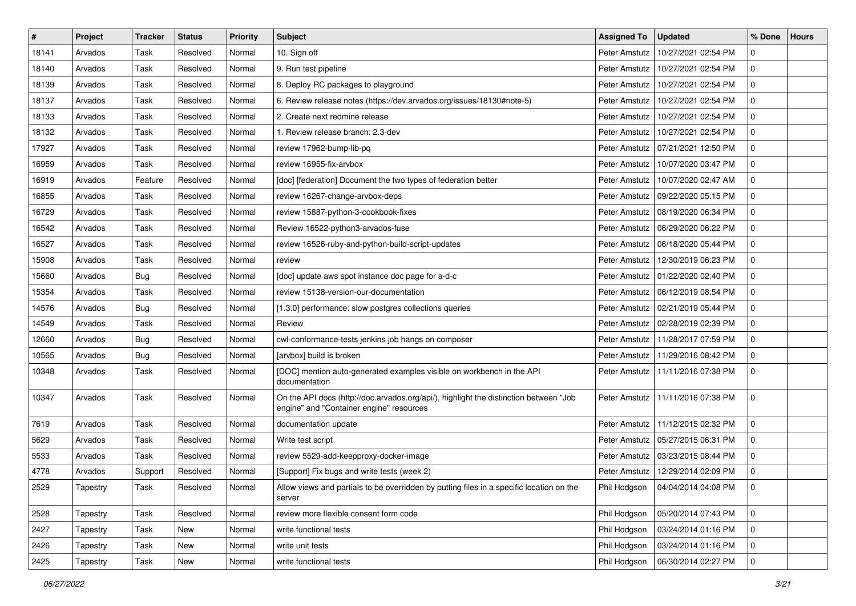| $\sharp$ | Project  | <b>Tracker</b> | <b>Status</b> | <b>Priority</b> | Subject                                                                                                                           | <b>Assigned To</b> | <b>Updated</b>      | % Done         | <b>Hours</b> |
|----------|----------|----------------|---------------|-----------------|-----------------------------------------------------------------------------------------------------------------------------------|--------------------|---------------------|----------------|--------------|
| 18141    | Arvados  | Task           | Resolved      | Normal          | 10. Sign off                                                                                                                      | Peter Amstutz      | 10/27/2021 02:54 PM | 0              |              |
| 18140    | Arvados  | Task           | Resolved      | Normal          | 9. Run test pipeline                                                                                                              | Peter Amstutz      | 10/27/2021 02:54 PM | $\Omega$       |              |
| 18139    | Arvados  | Task           | Resolved      | Normal          | 8. Deploy RC packages to playground                                                                                               | Peter Amstutz      | 10/27/2021 02:54 PM | $\Omega$       |              |
| 18137    | Arvados  | Task           | Resolved      | Normal          | 6. Review release notes (https://dev.arvados.org/issues/18130#note-5)                                                             | Peter Amstutz      | 10/27/2021 02:54 PM | $\mathbf 0$    |              |
| 18133    | Arvados  | Task           | Resolved      | Normal          | 2. Create next redmine release                                                                                                    | Peter Amstutz      | 10/27/2021 02:54 PM | $\mathbf 0$    |              |
| 18132    | Arvados  | Task           | Resolved      | Normal          | 1. Review release branch: 2.3-dev                                                                                                 | Peter Amstutz      | 10/27/2021 02:54 PM | $\Omega$       |              |
| 17927    | Arvados  | Task           | Resolved      | Normal          | review 17962-bump-lib-pq                                                                                                          | Peter Amstutz      | 07/21/2021 12:50 PM | $\Omega$       |              |
| 16959    | Arvados  | Task           | Resolved      | Normal          | review 16955-fix-arvbox                                                                                                           | Peter Amstutz      | 10/07/2020 03:47 PM | $\mathbf 0$    |              |
| 16919    | Arvados  | Feature        | Resolved      | Normal          | [doc] [federation] Document the two types of federation better                                                                    | Peter Amstutz      | 10/07/2020 02:47 AM | $\Omega$       |              |
| 16855    | Arvados  | Task           | Resolved      | Normal          | review 16267-change-arvbox-deps                                                                                                   | Peter Amstutz      | 09/22/2020 05:15 PM | $\Omega$       |              |
| 16729    | Arvados  | Task           | Resolved      | Normal          | review 15887-python-3-cookbook-fixes                                                                                              | Peter Amstutz      | 08/19/2020 06:34 PM | 0              |              |
| 16542    | Arvados  | Task           | Resolved      | Normal          | Review 16522-python3-arvados-fuse                                                                                                 | Peter Amstutz      | 06/29/2020 06:22 PM | $\Omega$       |              |
| 16527    | Arvados  | Task           | Resolved      | Normal          | review 16526-ruby-and-python-build-script-updates                                                                                 | Peter Amstutz      | 06/18/2020 05:44 PM | 0              |              |
| 15908    | Arvados  | Task           | Resolved      | Normal          | review                                                                                                                            | Peter Amstutz      | 12/30/2019 06:23 PM | 0              |              |
| 15660    | Arvados  | Bug            | Resolved      | Normal          | [doc] update aws spot instance doc page for a-d-c                                                                                 | Peter Amstutz      | 01/22/2020 02:40 PM | $\Omega$       |              |
| 15354    | Arvados  | Task           | Resolved      | Normal          | review 15138-version-our-documentation                                                                                            | Peter Amstutz      | 06/12/2019 08:54 PM | $\Omega$       |              |
| 14576    | Arvados  | Bug            | Resolved      | Normal          | [1.3.0] performance: slow postgres collections queries                                                                            | Peter Amstutz      | 02/21/2019 05:44 PM | $\mathbf 0$    |              |
| 14549    | Arvados  | Task           | Resolved      | Normal          | Review                                                                                                                            | Peter Amstutz      | 02/28/2019 02:39 PM | $\mathbf 0$    |              |
| 12660    | Arvados  | Bug            | Resolved      | Normal          | cwl-conformance-tests jenkins job hangs on composer                                                                               | Peter Amstutz      | 11/28/2017 07:59 PM | 0              |              |
| 10565    | Arvados  | <b>Bug</b>     | Resolved      | Normal          | [arvbox] build is broken                                                                                                          | Peter Amstutz      | 11/29/2016 08:42 PM | $\Omega$       |              |
| 10348    | Arvados  | Task           | Resolved      | Normal          | [DOC] mention auto-generated examples visible on workbench in the API<br>documentation                                            | Peter Amstutz      | 11/11/2016 07:38 PM | $\mathbf 0$    |              |
| 10347    | Arvados  | Task           | Resolved      | Normal          | On the API docs (http://doc.arvados.org/api/), highlight the distinction between "Job<br>engine" and "Container engine" resources | Peter Amstutz      | 11/11/2016 07:38 PM | $\mathbf 0$    |              |
| 7619     | Arvados  | Task           | Resolved      | Normal          | documentation update                                                                                                              | Peter Amstutz      | 11/12/2015 02:32 PM | 0              |              |
| 5629     | Arvados  | Task           | Resolved      | Normal          | Write test script                                                                                                                 | Peter Amstutz      | 05/27/2015 06:31 PM | 0              |              |
| 5533     | Arvados  | Task           | Resolved      | Normal          | review 5529-add-keepproxy-docker-image                                                                                            | Peter Amstutz      | 03/23/2015 08:44 PM | 0              |              |
| 4778     | Arvados  | Support        | Resolved      | Normal          | [Support] Fix bugs and write tests (week 2)                                                                                       | Peter Amstutz      | 12/29/2014 02:09 PM | $\mathbf 0$    |              |
| 2529     | Tapestry | Task           | Resolved      | Normal          | Allow views and partials to be overridden by putting files in a specific location on the<br>server                                | Phil Hodgson       | 04/04/2014 04:08 PM | 10             |              |
| 2528     | Tapestry | Task           | Resolved      | Normal          | review more flexible consent form code                                                                                            | Phil Hodgson       | 05/20/2014 07:43 PM | $\overline{0}$ |              |
| 2427     | Tapestry | Task           | New           | Normal          | write functional tests                                                                                                            | Phil Hodgson       | 03/24/2014 01:16 PM | $\mathbf 0$    |              |
| 2426     | Tapestry | Task           | New           | Normal          | write unit tests                                                                                                                  | Phil Hodgson       | 03/24/2014 01:16 PM | 0              |              |
| 2425     | Tapestry | Task           | New           | Normal          | write functional tests                                                                                                            | Phil Hodgson       | 06/30/2014 02:27 PM | 0              |              |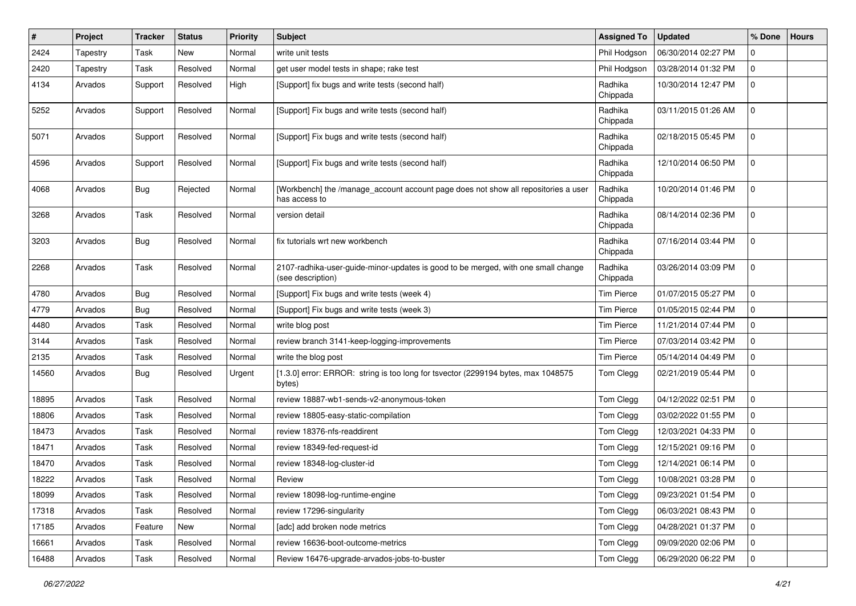| #     | Project  | <b>Tracker</b> | <b>Status</b> | <b>Priority</b> | <b>Subject</b>                                                                                         | <b>Assigned To</b>  | <b>Updated</b>      | % Done       | <b>Hours</b> |
|-------|----------|----------------|---------------|-----------------|--------------------------------------------------------------------------------------------------------|---------------------|---------------------|--------------|--------------|
| 2424  | Tapestry | Task           | New           | Normal          | write unit tests                                                                                       | Phil Hodgson        | 06/30/2014 02:27 PM | 0            |              |
| 2420  | Tapestry | Task           | Resolved      | Normal          | get user model tests in shape; rake test                                                               | Phil Hodgson        | 03/28/2014 01:32 PM | 0            |              |
| 4134  | Arvados  | Support        | Resolved      | High            | [Support] fix bugs and write tests (second half)                                                       | Radhika<br>Chippada | 10/30/2014 12:47 PM | 0            |              |
| 5252  | Arvados  | Support        | Resolved      | Normal          | [Support] Fix bugs and write tests (second half)                                                       | Radhika<br>Chippada | 03/11/2015 01:26 AM | 0            |              |
| 5071  | Arvados  | Support        | Resolved      | Normal          | [Support] Fix bugs and write tests (second half)                                                       | Radhika<br>Chippada | 02/18/2015 05:45 PM | $\mathbf 0$  |              |
| 4596  | Arvados  | Support        | Resolved      | Normal          | [Support] Fix bugs and write tests (second half)                                                       | Radhika<br>Chippada | 12/10/2014 06:50 PM | 0            |              |
| 4068  | Arvados  | Bug            | Rejected      | Normal          | [Workbench] the /manage_account account page does not show all repositories a user<br>has access to    | Radhika<br>Chippada | 10/20/2014 01:46 PM | $\mathbf 0$  |              |
| 3268  | Arvados  | Task           | Resolved      | Normal          | version detail                                                                                         | Radhika<br>Chippada | 08/14/2014 02:36 PM | 0            |              |
| 3203  | Arvados  | <b>Bug</b>     | Resolved      | Normal          | fix tutorials wrt new workbench                                                                        | Radhika<br>Chippada | 07/16/2014 03:44 PM | $\mathbf 0$  |              |
| 2268  | Arvados  | Task           | Resolved      | Normal          | 2107-radhika-user-guide-minor-updates is good to be merged, with one small change<br>(see description) | Radhika<br>Chippada | 03/26/2014 03:09 PM | 0            |              |
| 4780  | Arvados  | <b>Bug</b>     | Resolved      | Normal          | [Support] Fix bugs and write tests (week 4)                                                            | <b>Tim Pierce</b>   | 01/07/2015 05:27 PM | 0            |              |
| 4779  | Arvados  | <b>Bug</b>     | Resolved      | Normal          | [Support] Fix bugs and write tests (week 3)                                                            | <b>Tim Pierce</b>   | 01/05/2015 02:44 PM | 0            |              |
| 4480  | Arvados  | Task           | Resolved      | Normal          | write blog post                                                                                        | <b>Tim Pierce</b>   | 11/21/2014 07:44 PM | 0            |              |
| 3144  | Arvados  | Task           | Resolved      | Normal          | review branch 3141-keep-logging-improvements                                                           | <b>Tim Pierce</b>   | 07/03/2014 03:42 PM | 0            |              |
| 2135  | Arvados  | Task           | Resolved      | Normal          | write the blog post                                                                                    | <b>Tim Pierce</b>   | 05/14/2014 04:49 PM | 0            |              |
| 14560 | Arvados  | <b>Bug</b>     | Resolved      | Urgent          | [1.3.0] error: ERROR: string is too long for tsvector (2299194 bytes, max 1048575<br>bytes)            | Tom Clegg           | 02/21/2019 05:44 PM | $\mathbf{0}$ |              |
| 18895 | Arvados  | Task           | Resolved      | Normal          | review 18887-wb1-sends-v2-anonymous-token                                                              | Tom Clegg           | 04/12/2022 02:51 PM | $\mathbf 0$  |              |
| 18806 | Arvados  | Task           | Resolved      | Normal          | review 18805-easy-static-compilation                                                                   | Tom Clegg           | 03/02/2022 01:55 PM | 0            |              |
| 18473 | Arvados  | Task           | Resolved      | Normal          | review 18376-nfs-readdirent                                                                            | Tom Clegg           | 12/03/2021 04:33 PM | 0            |              |
| 18471 | Arvados  | Task           | Resolved      | Normal          | review 18349-fed-request-id                                                                            | Tom Clegg           | 12/15/2021 09:16 PM | 0            |              |
| 18470 | Arvados  | Task           | Resolved      | Normal          | review 18348-log-cluster-id                                                                            | Tom Clegg           | 12/14/2021 06:14 PM | 0            |              |
| 18222 | Arvados  | Task           | Resolved      | Normal          | Review                                                                                                 | Tom Clegg           | 10/08/2021 03:28 PM | 0            |              |
| 18099 | Arvados  | Task           | Resolved      | Normal          | review 18098-log-runtime-engine                                                                        | Tom Clegg           | 09/23/2021 01:54 PM | 0            |              |
| 17318 | Arvados  | Task           | Resolved      | Normal          | review 17296-singularity                                                                               | Tom Clegg           | 06/03/2021 08:43 PM | $\mathbf 0$  |              |
| 17185 | Arvados  | Feature        | New           | Normal          | [adc] add broken node metrics                                                                          | Tom Clegg           | 04/28/2021 01:37 PM | 0            |              |
| 16661 | Arvados  | Task           | Resolved      | Normal          | review 16636-boot-outcome-metrics                                                                      | Tom Clegg           | 09/09/2020 02:06 PM | 0            |              |
| 16488 | Arvados  | Task           | Resolved      | Normal          | Review 16476-upgrade-arvados-jobs-to-buster                                                            | Tom Clegg           | 06/29/2020 06:22 PM | $\pmb{0}$    |              |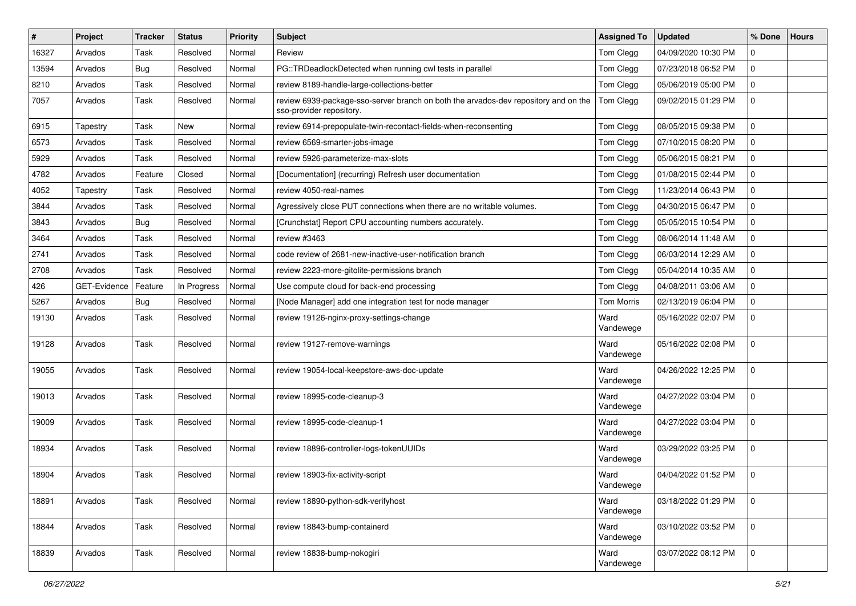| $\vert$ # | Project      | <b>Tracker</b> | <b>Status</b> | <b>Priority</b> | <b>Subject</b>                                                                                                  | <b>Assigned To</b> | <b>Updated</b>      | % Done      | <b>Hours</b> |
|-----------|--------------|----------------|---------------|-----------------|-----------------------------------------------------------------------------------------------------------------|--------------------|---------------------|-------------|--------------|
| 16327     | Arvados      | Task           | Resolved      | Normal          | Review                                                                                                          | Tom Clegg          | 04/09/2020 10:30 PM | 0           |              |
| 13594     | Arvados      | <b>Bug</b>     | Resolved      | Normal          | PG::TRDeadlockDetected when running cwl tests in parallel                                                       | Tom Clegg          | 07/23/2018 06:52 PM | $\mathbf 0$ |              |
| 8210      | Arvados      | Task           | Resolved      | Normal          | review 8189-handle-large-collections-better                                                                     | Tom Clegg          | 05/06/2019 05:00 PM | $\mathsf 0$ |              |
| 7057      | Arvados      | Task           | Resolved      | Normal          | review 6939-package-sso-server branch on both the arvados-dev repository and on the<br>sso-provider repository. | Tom Clegg          | 09/02/2015 01:29 PM | $\mathbf 0$ |              |
| 6915      | Tapestry     | Task           | <b>New</b>    | Normal          | review 6914-prepopulate-twin-recontact-fields-when-reconsenting                                                 | Tom Clegg          | 08/05/2015 09:38 PM | $\mathbf 0$ |              |
| 6573      | Arvados      | Task           | Resolved      | Normal          | review 6569-smarter-jobs-image                                                                                  | Tom Clegg          | 07/10/2015 08:20 PM | $\mathbf 0$ |              |
| 5929      | Arvados      | Task           | Resolved      | Normal          | review 5926-parameterize-max-slots                                                                              | Tom Clegg          | 05/06/2015 08:21 PM | $\mathbf 0$ |              |
| 4782      | Arvados      | Feature        | Closed        | Normal          | [Documentation] (recurring) Refresh user documentation                                                          | Tom Clegg          | 01/08/2015 02:44 PM | $\mathbf 0$ |              |
| 4052      | Tapestry     | Task           | Resolved      | Normal          | review 4050-real-names                                                                                          | Tom Clegg          | 11/23/2014 06:43 PM | $\mathbf 0$ |              |
| 3844      | Arvados      | Task           | Resolved      | Normal          | Agressively close PUT connections when there are no writable volumes.                                           | Tom Clegg          | 04/30/2015 06:47 PM | $\mathbf 0$ |              |
| 3843      | Arvados      | <b>Bug</b>     | Resolved      | Normal          | [Crunchstat] Report CPU accounting numbers accurately.                                                          | Tom Clegg          | 05/05/2015 10:54 PM | $\mathbf 0$ |              |
| 3464      | Arvados      | Task           | Resolved      | Normal          | review #3463                                                                                                    | Tom Clegg          | 08/06/2014 11:48 AM | $\mathbf 0$ |              |
| 2741      | Arvados      | Task           | Resolved      | Normal          | code review of 2681-new-inactive-user-notification branch                                                       | Tom Clegg          | 06/03/2014 12:29 AM | $\mathbf 0$ |              |
| 2708      | Arvados      | Task           | Resolved      | Normal          | review 2223-more-gitolite-permissions branch                                                                    | Tom Clegg          | 05/04/2014 10:35 AM | $\mathbf 0$ |              |
| 426       | GET-Evidence | Feature        | In Progress   | Normal          | Use compute cloud for back-end processing                                                                       | Tom Clegg          | 04/08/2011 03:06 AM | $\mathbf 0$ |              |
| 5267      | Arvados      | <b>Bug</b>     | Resolved      | Normal          | [Node Manager] add one integration test for node manager                                                        | <b>Tom Morris</b>  | 02/13/2019 06:04 PM | $\mathbf 0$ |              |
| 19130     | Arvados      | Task           | Resolved      | Normal          | review 19126-nginx-proxy-settings-change                                                                        | Ward<br>Vandewege  | 05/16/2022 02:07 PM | $\mathbf 0$ |              |
| 19128     | Arvados      | Task           | Resolved      | Normal          | review 19127-remove-warnings                                                                                    | Ward<br>Vandewege  | 05/16/2022 02:08 PM | $\mathbf 0$ |              |
| 19055     | Arvados      | Task           | Resolved      | Normal          | review 19054-local-keepstore-aws-doc-update                                                                     | Ward<br>Vandewege  | 04/26/2022 12:25 PM | $\mathbf 0$ |              |
| 19013     | Arvados      | Task           | Resolved      | Normal          | review 18995-code-cleanup-3                                                                                     | Ward<br>Vandewege  | 04/27/2022 03:04 PM | $\mathbf 0$ |              |
| 19009     | Arvados      | Task           | Resolved      | Normal          | review 18995-code-cleanup-1                                                                                     | Ward<br>Vandewege  | 04/27/2022 03:04 PM | $\mathbf 0$ |              |
| 18934     | Arvados      | Task           | Resolved      | Normal          | review 18896-controller-logs-tokenUUIDs                                                                         | Ward<br>Vandewege  | 03/29/2022 03:25 PM | $\mathbf 0$ |              |
| 18904     | Arvados      | Task           | Resolved      | Normal          | review 18903-fix-activity-script                                                                                | Ward<br>Vandewege  | 04/04/2022 01:52 PM | $\mathbf 0$ |              |
| 18891     | Arvados      | Task           | Resolved      | Normal          | review 18890-python-sdk-verifyhost                                                                              | Ward<br>Vandewege  | 03/18/2022 01:29 PM | $\mathsf 0$ |              |
| 18844     | Arvados      | Task           | Resolved      | Normal          | review 18843-bump-containerd                                                                                    | Ward<br>Vandewege  | 03/10/2022 03:52 PM | 0           |              |
| 18839     | Arvados      | Task           | Resolved      | Normal          | review 18838-bump-nokogiri                                                                                      | Ward<br>Vandewege  | 03/07/2022 08:12 PM | $\mathbf 0$ |              |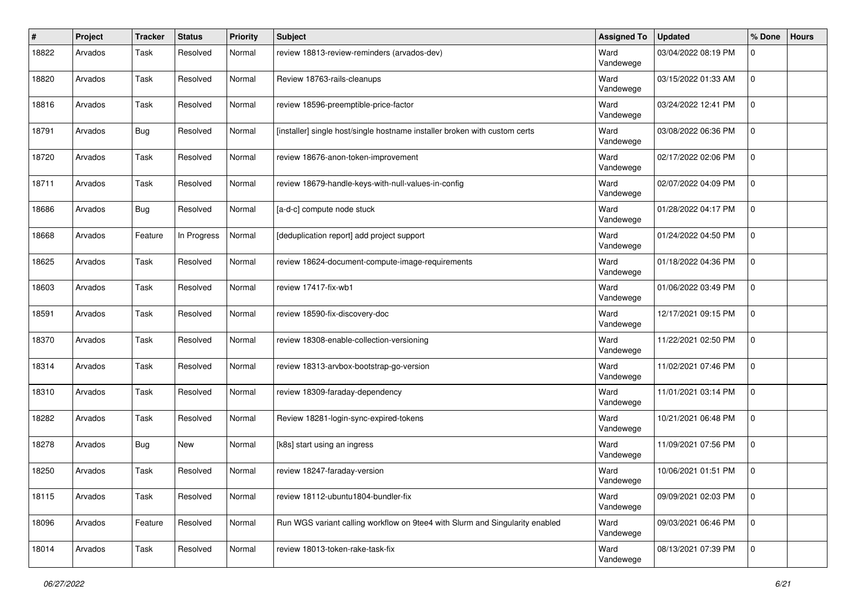| #     | Project | <b>Tracker</b> | <b>Status</b> | <b>Priority</b> | <b>Subject</b>                                                               | <b>Assigned To</b> | <b>Updated</b>      | % Done      | <b>Hours</b> |
|-------|---------|----------------|---------------|-----------------|------------------------------------------------------------------------------|--------------------|---------------------|-------------|--------------|
| 18822 | Arvados | Task           | Resolved      | Normal          | review 18813-review-reminders (arvados-dev)                                  | Ward<br>Vandewege  | 03/04/2022 08:19 PM | $\Omega$    |              |
| 18820 | Arvados | Task           | Resolved      | Normal          | Review 18763-rails-cleanups                                                  | Ward<br>Vandewege  | 03/15/2022 01:33 AM | 0           |              |
| 18816 | Arvados | Task           | Resolved      | Normal          | review 18596-preemptible-price-factor                                        | Ward<br>Vandewege  | 03/24/2022 12:41 PM | $\mathbf 0$ |              |
| 18791 | Arvados | <b>Bug</b>     | Resolved      | Normal          | [installer] single host/single hostname installer broken with custom certs   | Ward<br>Vandewege  | 03/08/2022 06:36 PM | $\mathbf 0$ |              |
| 18720 | Arvados | Task           | Resolved      | Normal          | review 18676-anon-token-improvement                                          | Ward<br>Vandewege  | 02/17/2022 02:06 PM | $\Omega$    |              |
| 18711 | Arvados | Task           | Resolved      | Normal          | review 18679-handle-keys-with-null-values-in-config                          | Ward<br>Vandewege  | 02/07/2022 04:09 PM | 0           |              |
| 18686 | Arvados | <b>Bug</b>     | Resolved      | Normal          | [a-d-c] compute node stuck                                                   | Ward<br>Vandewege  | 01/28/2022 04:17 PM | $\mathbf 0$ |              |
| 18668 | Arvados | Feature        | In Progress   | Normal          | [deduplication report] add project support                                   | Ward<br>Vandewege  | 01/24/2022 04:50 PM | $\mathbf 0$ |              |
| 18625 | Arvados | Task           | Resolved      | Normal          | review 18624-document-compute-image-requirements                             | Ward<br>Vandewege  | 01/18/2022 04:36 PM | 0           |              |
| 18603 | Arvados | Task           | Resolved      | Normal          | review 17417-fix-wb1                                                         | Ward<br>Vandewege  | 01/06/2022 03:49 PM | $\mathbf 0$ |              |
| 18591 | Arvados | Task           | Resolved      | Normal          | review 18590-fix-discovery-doc                                               | Ward<br>Vandewege  | 12/17/2021 09:15 PM | $\mathbf 0$ |              |
| 18370 | Arvados | Task           | Resolved      | Normal          | review 18308-enable-collection-versioning                                    | Ward<br>Vandewege  | 11/22/2021 02:50 PM | $\Omega$    |              |
| 18314 | Arvados | Task           | Resolved      | Normal          | review 18313-arvbox-bootstrap-go-version                                     | Ward<br>Vandewege  | 11/02/2021 07:46 PM | $\mathbf 0$ |              |
| 18310 | Arvados | Task           | Resolved      | Normal          | review 18309-faraday-dependency                                              | Ward<br>Vandewege  | 11/01/2021 03:14 PM | $\Omega$    |              |
| 18282 | Arvados | Task           | Resolved      | Normal          | Review 18281-login-sync-expired-tokens                                       | Ward<br>Vandewege  | 10/21/2021 06:48 PM | $\mathbf 0$ |              |
| 18278 | Arvados | <b>Bug</b>     | <b>New</b>    | Normal          | [k8s] start using an ingress                                                 | Ward<br>Vandewege  | 11/09/2021 07:56 PM | $\Omega$    |              |
| 18250 | Arvados | Task           | Resolved      | Normal          | review 18247-faraday-version                                                 | Ward<br>Vandewege  | 10/06/2021 01:51 PM | $\mathbf 0$ |              |
| 18115 | Arvados | Task           | Resolved      | Normal          | review 18112-ubuntu1804-bundler-fix                                          | Ward<br>Vandewege  | 09/09/2021 02:03 PM | $\mathbf 0$ |              |
| 18096 | Arvados | Feature        | Resolved      | Normal          | Run WGS variant calling workflow on 9tee4 with Slurm and Singularity enabled | Ward<br>Vandewege  | 09/03/2021 06:46 PM | $\mathbf 0$ |              |
| 18014 | Arvados | Task           | Resolved      | Normal          | review 18013-token-rake-task-fix                                             | Ward<br>Vandewege  | 08/13/2021 07:39 PM | $\mathbf 0$ |              |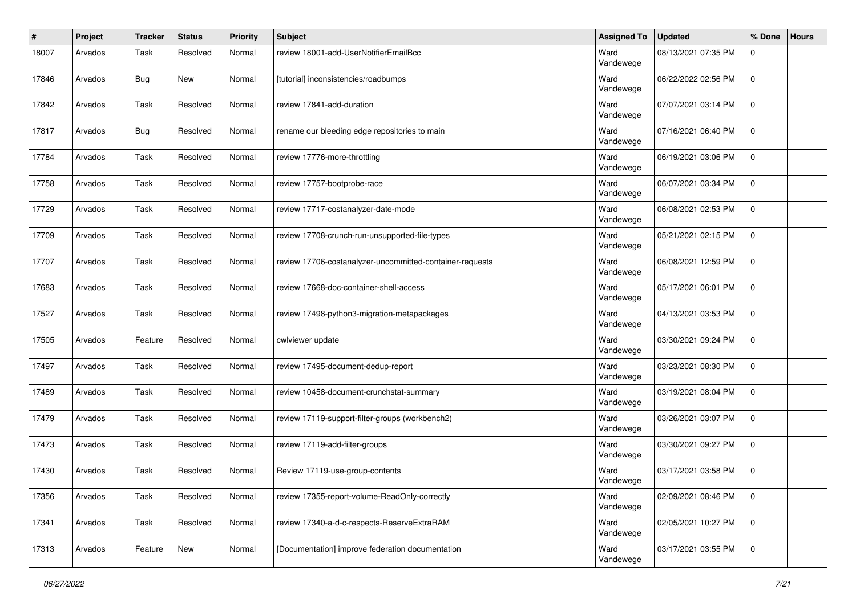| $\pmb{\#}$ | Project | <b>Tracker</b> | <b>Status</b> | <b>Priority</b> | <b>Subject</b>                                           | <b>Assigned To</b> | <b>Updated</b>      | % Done      | <b>Hours</b> |
|------------|---------|----------------|---------------|-----------------|----------------------------------------------------------|--------------------|---------------------|-------------|--------------|
| 18007      | Arvados | Task           | Resolved      | Normal          | review 18001-add-UserNotifierEmailBcc                    | Ward<br>Vandewege  | 08/13/2021 07:35 PM | $\Omega$    |              |
| 17846      | Arvados | <b>Bug</b>     | <b>New</b>    | Normal          | [tutorial] inconsistencies/roadbumps                     | Ward<br>Vandewege  | 06/22/2022 02:56 PM | 0           |              |
| 17842      | Arvados | Task           | Resolved      | Normal          | review 17841-add-duration                                | Ward<br>Vandewege  | 07/07/2021 03:14 PM | $\mathbf 0$ |              |
| 17817      | Arvados | <b>Bug</b>     | Resolved      | Normal          | rename our bleeding edge repositories to main            | Ward<br>Vandewege  | 07/16/2021 06:40 PM | $\mathbf 0$ |              |
| 17784      | Arvados | Task           | Resolved      | Normal          | review 17776-more-throttling                             | Ward<br>Vandewege  | 06/19/2021 03:06 PM | $\Omega$    |              |
| 17758      | Arvados | Task           | Resolved      | Normal          | review 17757-bootprobe-race                              | Ward<br>Vandewege  | 06/07/2021 03:34 PM | 0           |              |
| 17729      | Arvados | Task           | Resolved      | Normal          | review 17717-costanalyzer-date-mode                      | Ward<br>Vandewege  | 06/08/2021 02:53 PM | $\mathbf 0$ |              |
| 17709      | Arvados | Task           | Resolved      | Normal          | review 17708-crunch-run-unsupported-file-types           | Ward<br>Vandewege  | 05/21/2021 02:15 PM | $\mathbf 0$ |              |
| 17707      | Arvados | Task           | Resolved      | Normal          | review 17706-costanalyzer-uncommitted-container-requests | Ward<br>Vandewege  | 06/08/2021 12:59 PM | 0           |              |
| 17683      | Arvados | Task           | Resolved      | Normal          | review 17668-doc-container-shell-access                  | Ward<br>Vandewege  | 05/17/2021 06:01 PM | $\mathbf 0$ |              |
| 17527      | Arvados | Task           | Resolved      | Normal          | review 17498-python3-migration-metapackages              | Ward<br>Vandewege  | 04/13/2021 03:53 PM | $\mathbf 0$ |              |
| 17505      | Arvados | Feature        | Resolved      | Normal          | cwlviewer update                                         | Ward<br>Vandewege  | 03/30/2021 09:24 PM | $\Omega$    |              |
| 17497      | Arvados | Task           | Resolved      | Normal          | review 17495-document-dedup-report                       | Ward<br>Vandewege  | 03/23/2021 08:30 PM | $\mathbf 0$ |              |
| 17489      | Arvados | Task           | Resolved      | Normal          | review 10458-document-crunchstat-summary                 | Ward<br>Vandewege  | 03/19/2021 08:04 PM | $\Omega$    |              |
| 17479      | Arvados | Task           | Resolved      | Normal          | review 17119-support-filter-groups (workbench2)          | Ward<br>Vandewege  | 03/26/2021 03:07 PM | $\mathbf 0$ |              |
| 17473      | Arvados | Task           | Resolved      | Normal          | review 17119-add-filter-groups                           | Ward<br>Vandewege  | 03/30/2021 09:27 PM | $\Omega$    |              |
| 17430      | Arvados | Task           | Resolved      | Normal          | Review 17119-use-group-contents                          | Ward<br>Vandewege  | 03/17/2021 03:58 PM | $\mathbf 0$ |              |
| 17356      | Arvados | Task           | Resolved      | Normal          | review 17355-report-volume-ReadOnly-correctly            | Ward<br>Vandewege  | 02/09/2021 08:46 PM | $\mathbf 0$ |              |
| 17341      | Arvados | Task           | Resolved      | Normal          | review 17340-a-d-c-respects-ReserveExtraRAM              | Ward<br>Vandewege  | 02/05/2021 10:27 PM | $\mathbf 0$ |              |
| 17313      | Arvados | Feature        | New           | Normal          | [Documentation] improve federation documentation         | Ward<br>Vandewege  | 03/17/2021 03:55 PM | $\mathbf 0$ |              |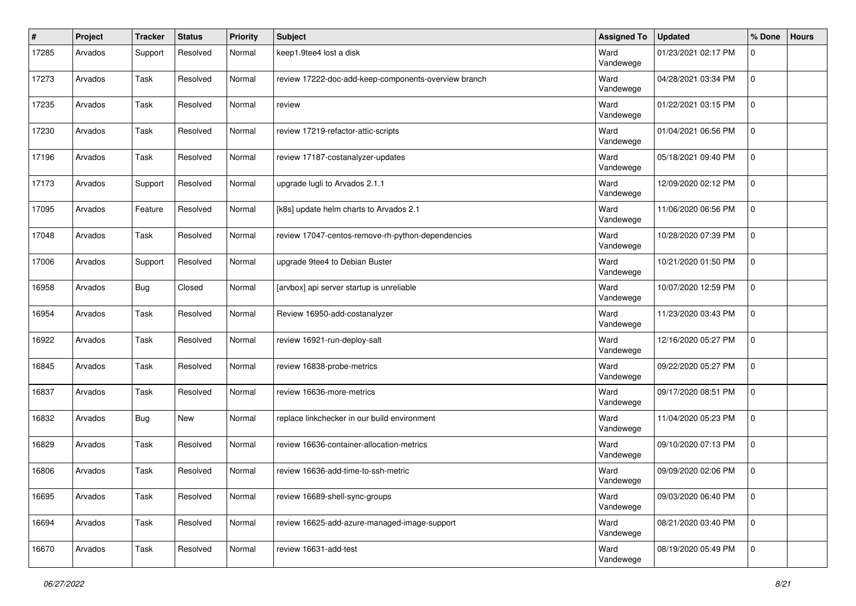| $\pmb{\#}$ | Project | <b>Tracker</b> | <b>Status</b> | <b>Priority</b> | Subject                                              | <b>Assigned To</b> | <b>Updated</b>      | % Done      | <b>Hours</b> |
|------------|---------|----------------|---------------|-----------------|------------------------------------------------------|--------------------|---------------------|-------------|--------------|
| 17285      | Arvados | Support        | Resolved      | Normal          | keep1.9tee4 lost a disk                              | Ward<br>Vandewege  | 01/23/2021 02:17 PM | 0           |              |
| 17273      | Arvados | Task           | Resolved      | Normal          | review 17222-doc-add-keep-components-overview branch | Ward<br>Vandewege  | 04/28/2021 03:34 PM | 0           |              |
| 17235      | Arvados | Task           | Resolved      | Normal          | review                                               | Ward<br>Vandewege  | 01/22/2021 03:15 PM | $\Omega$    |              |
| 17230      | Arvados | Task           | Resolved      | Normal          | review 17219-refactor-attic-scripts                  | Ward<br>Vandewege  | 01/04/2021 06:56 PM | $\mathbf 0$ |              |
| 17196      | Arvados | Task           | Resolved      | Normal          | review 17187-costanalyzer-updates                    | Ward<br>Vandewege  | 05/18/2021 09:40 PM | $\Omega$    |              |
| 17173      | Arvados | Support        | Resolved      | Normal          | upgrade lugli to Arvados 2.1.1                       | Ward<br>Vandewege  | 12/09/2020 02:12 PM | $\mathbf 0$ |              |
| 17095      | Arvados | Feature        | Resolved      | Normal          | [k8s] update helm charts to Arvados 2.1              | Ward<br>Vandewege  | 11/06/2020 06:56 PM | $\mathbf 0$ |              |
| 17048      | Arvados | Task           | Resolved      | Normal          | review 17047-centos-remove-rh-python-dependencies    | Ward<br>Vandewege  | 10/28/2020 07:39 PM | $\Omega$    |              |
| 17006      | Arvados | Support        | Resolved      | Normal          | upgrade 9tee4 to Debian Buster                       | Ward<br>Vandewege  | 10/21/2020 01:50 PM | $\Omega$    |              |
| 16958      | Arvados | <b>Bug</b>     | Closed        | Normal          | [arvbox] api server startup is unreliable            | Ward<br>Vandewege  | 10/07/2020 12:59 PM | 0           |              |
| 16954      | Arvados | Task           | Resolved      | Normal          | Review 16950-add-costanalyzer                        | Ward<br>Vandewege  | 11/23/2020 03:43 PM | $\mathbf 0$ |              |
| 16922      | Arvados | Task           | Resolved      | Normal          | review 16921-run-deploy-salt                         | Ward<br>Vandewege  | 12/16/2020 05:27 PM | $\Omega$    |              |
| 16845      | Arvados | Task           | Resolved      | Normal          | review 16838-probe-metrics                           | Ward<br>Vandewege  | 09/22/2020 05:27 PM | $\mathbf 0$ |              |
| 16837      | Arvados | Task           | Resolved      | Normal          | review 16636-more-metrics                            | Ward<br>Vandewege  | 09/17/2020 08:51 PM | $\Omega$    |              |
| 16832      | Arvados | <b>Bug</b>     | New           | Normal          | replace linkchecker in our build environment         | Ward<br>Vandewege  | 11/04/2020 05:23 PM | $\Omega$    |              |
| 16829      | Arvados | Task           | Resolved      | Normal          | review 16636-container-allocation-metrics            | Ward<br>Vandewege  | 09/10/2020 07:13 PM | $\Omega$    |              |
| 16806      | Arvados | Task           | Resolved      | Normal          | review 16636-add-time-to-ssh-metric                  | Ward<br>Vandewege  | 09/09/2020 02:06 PM | $\mathbf 0$ |              |
| 16695      | Arvados | Task           | Resolved      | Normal          | review 16689-shell-sync-groups                       | Ward<br>Vandewege  | 09/03/2020 06:40 PM | 0           |              |
| 16694      | Arvados | Task           | Resolved      | Normal          | review 16625-add-azure-managed-image-support         | Ward<br>Vandewege  | 08/21/2020 03:40 PM | 0           |              |
| 16670      | Arvados | Task           | Resolved      | Normal          | review 16631-add-test                                | Ward<br>Vandewege  | 08/19/2020 05:49 PM | $\mathbf 0$ |              |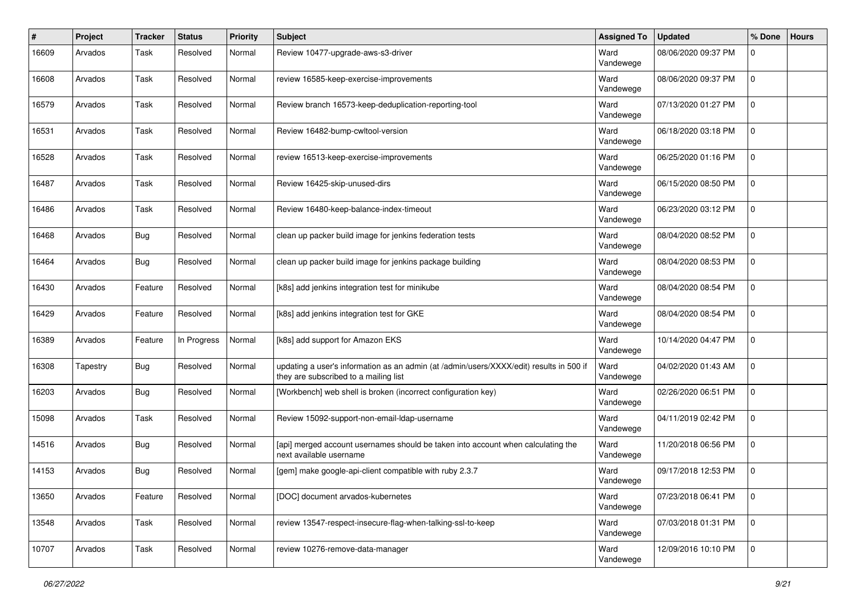| #     | Project  | <b>Tracker</b> | <b>Status</b> | <b>Priority</b> | <b>Subject</b>                                                                                                                   | <b>Assigned To</b> | <b>Updated</b>      | % Done      | <b>Hours</b> |
|-------|----------|----------------|---------------|-----------------|----------------------------------------------------------------------------------------------------------------------------------|--------------------|---------------------|-------------|--------------|
| 16609 | Arvados  | Task           | Resolved      | Normal          | Review 10477-upgrade-aws-s3-driver                                                                                               | Ward<br>Vandewege  | 08/06/2020 09:37 PM | $\Omega$    |              |
| 16608 | Arvados  | Task           | Resolved      | Normal          | review 16585-keep-exercise-improvements                                                                                          | Ward<br>Vandewege  | 08/06/2020 09:37 PM | $\Omega$    |              |
| 16579 | Arvados  | Task           | Resolved      | Normal          | Review branch 16573-keep-deduplication-reporting-tool                                                                            | Ward<br>Vandewege  | 07/13/2020 01:27 PM | $\mathbf 0$ |              |
| 16531 | Arvados  | Task           | Resolved      | Normal          | Review 16482-bump-cwltool-version                                                                                                | Ward<br>Vandewege  | 06/18/2020 03:18 PM | $\mathbf 0$ |              |
| 16528 | Arvados  | Task           | Resolved      | Normal          | review 16513-keep-exercise-improvements                                                                                          | Ward<br>Vandewege  | 06/25/2020 01:16 PM | $\Omega$    |              |
| 16487 | Arvados  | Task           | Resolved      | Normal          | Review 16425-skip-unused-dirs                                                                                                    | Ward<br>Vandewege  | 06/15/2020 08:50 PM | 0           |              |
| 16486 | Arvados  | Task           | Resolved      | Normal          | Review 16480-keep-balance-index-timeout                                                                                          | Ward<br>Vandewege  | 06/23/2020 03:12 PM | $\Omega$    |              |
| 16468 | Arvados  | Bug            | Resolved      | Normal          | clean up packer build image for jenkins federation tests                                                                         | Ward<br>Vandewege  | 08/04/2020 08:52 PM | $\Omega$    |              |
| 16464 | Arvados  | Bug            | Resolved      | Normal          | clean up packer build image for jenkins package building                                                                         | Ward<br>Vandewege  | 08/04/2020 08:53 PM | 0           |              |
| 16430 | Arvados  | Feature        | Resolved      | Normal          | [k8s] add jenkins integration test for minikube                                                                                  | Ward<br>Vandewege  | 08/04/2020 08:54 PM | $\mathbf 0$ |              |
| 16429 | Arvados  | Feature        | Resolved      | Normal          | [k8s] add jenkins integration test for GKE                                                                                       | Ward<br>Vandewege  | 08/04/2020 08:54 PM | $\mathbf 0$ |              |
| 16389 | Arvados  | Feature        | In Progress   | Normal          | [k8s] add support for Amazon EKS                                                                                                 | Ward<br>Vandewege  | 10/14/2020 04:47 PM | $\Omega$    |              |
| 16308 | Tapestry | Bug            | Resolved      | Normal          | updating a user's information as an admin (at /admin/users/XXXX/edit) results in 500 if<br>they are subscribed to a mailing list | Ward<br>Vandewege  | 04/02/2020 01:43 AM | $\Omega$    |              |
| 16203 | Arvados  | Bug            | Resolved      | Normal          | [Workbench] web shell is broken (incorrect configuration key)                                                                    | Ward<br>Vandewege  | 02/26/2020 06:51 PM | $\mathbf 0$ |              |
| 15098 | Arvados  | Task           | Resolved      | Normal          | Review 15092-support-non-email-Idap-username                                                                                     | Ward<br>Vandewege  | 04/11/2019 02:42 PM | 0           |              |
| 14516 | Arvados  | Bug            | Resolved      | Normal          | [api] merged account usernames should be taken into account when calculating the<br>next available username                      | Ward<br>Vandewege  | 11/20/2018 06:56 PM | 0           |              |
| 14153 | Arvados  | <b>Bug</b>     | Resolved      | Normal          | [gem] make google-api-client compatible with ruby 2.3.7                                                                          | Ward<br>Vandewege  | 09/17/2018 12:53 PM | $\Omega$    |              |
| 13650 | Arvados  | Feature        | Resolved      | Normal          | [DOC] document arvados-kubernetes                                                                                                | Ward<br>Vandewege  | 07/23/2018 06:41 PM | $\mathbf 0$ |              |
| 13548 | Arvados  | Task           | Resolved      | Normal          | review 13547-respect-insecure-flag-when-talking-ssl-to-keep                                                                      | Ward<br>Vandewege  | 07/03/2018 01:31 PM | $\mathbf 0$ |              |
| 10707 | Arvados  | Task           | Resolved      | Normal          | review 10276-remove-data-manager                                                                                                 | Ward<br>Vandewege  | 12/09/2016 10:10 PM | 0           |              |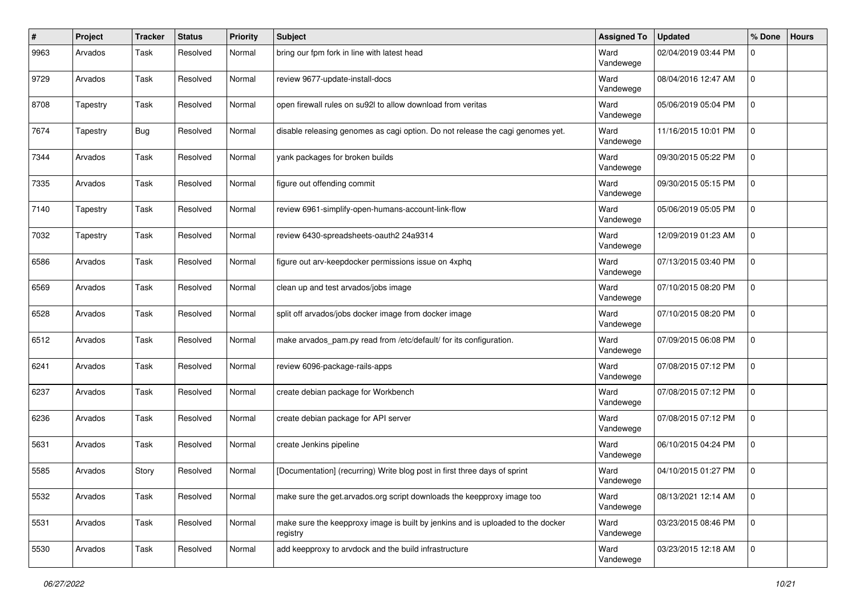| $\pmb{\#}$ | Project  | Tracker    | <b>Status</b> | <b>Priority</b> | <b>Subject</b>                                                                              | <b>Assigned To</b> | <b>Updated</b>      | % Done   | <b>Hours</b> |
|------------|----------|------------|---------------|-----------------|---------------------------------------------------------------------------------------------|--------------------|---------------------|----------|--------------|
| 9963       | Arvados  | Task       | Resolved      | Normal          | bring our fpm fork in line with latest head                                                 | Ward<br>Vandewege  | 02/04/2019 03:44 PM | 0        |              |
| 9729       | Arvados  | Task       | Resolved      | Normal          | review 9677-update-install-docs                                                             | Ward<br>Vandewege  | 08/04/2016 12:47 AM | $\Omega$ |              |
| 8708       | Tapestry | Task       | Resolved      | Normal          | open firewall rules on su92l to allow download from veritas                                 | Ward<br>Vandewege  | 05/06/2019 05:04 PM | 0        |              |
| 7674       | Tapestry | <b>Bug</b> | Resolved      | Normal          | disable releasing genomes as cagi option. Do not release the cagi genomes yet.              | Ward<br>Vandewege  | 11/16/2015 10:01 PM | 0        |              |
| 7344       | Arvados  | Task       | Resolved      | Normal          | yank packages for broken builds                                                             | Ward<br>Vandewege  | 09/30/2015 05:22 PM | $\Omega$ |              |
| 7335       | Arvados  | Task       | Resolved      | Normal          | figure out offending commit                                                                 | Ward<br>Vandewege  | 09/30/2015 05:15 PM | 0        |              |
| 7140       | Tapestry | Task       | Resolved      | Normal          | review 6961-simplify-open-humans-account-link-flow                                          | Ward<br>Vandewege  | 05/06/2019 05:05 PM | 0        |              |
| 7032       | Tapestry | Task       | Resolved      | Normal          | review 6430-spreadsheets-oauth2 24a9314                                                     | Ward<br>Vandewege  | 12/09/2019 01:23 AM | 0        |              |
| 6586       | Arvados  | Task       | Resolved      | Normal          | figure out arv-keepdocker permissions issue on 4xphq                                        | Ward<br>Vandewege  | 07/13/2015 03:40 PM | 0        |              |
| 6569       | Arvados  | Task       | Resolved      | Normal          | clean up and test arvados/jobs image                                                        | Ward<br>Vandewege  | 07/10/2015 08:20 PM | 0        |              |
| 6528       | Arvados  | Task       | Resolved      | Normal          | split off arvados/jobs docker image from docker image                                       | Ward<br>Vandewege  | 07/10/2015 08:20 PM | 0        |              |
| 6512       | Arvados  | Task       | Resolved      | Normal          | make arvados_pam.py read from /etc/default/ for its configuration.                          | Ward<br>Vandewege  | 07/09/2015 06:08 PM | $\Omega$ |              |
| 6241       | Arvados  | Task       | Resolved      | Normal          | review 6096-package-rails-apps                                                              | Ward<br>Vandewege  | 07/08/2015 07:12 PM | 0        |              |
| 6237       | Arvados  | Task       | Resolved      | Normal          | create debian package for Workbench                                                         | Ward<br>Vandewege  | 07/08/2015 07:12 PM | 0        |              |
| 6236       | Arvados  | Task       | Resolved      | Normal          | create debian package for API server                                                        | Ward<br>Vandewege  | 07/08/2015 07:12 PM | $\Omega$ |              |
| 5631       | Arvados  | Task       | Resolved      | Normal          | create Jenkins pipeline                                                                     | Ward<br>Vandewege  | 06/10/2015 04:24 PM | $\Omega$ |              |
| 5585       | Arvados  | Story      | Resolved      | Normal          | [Documentation] (recurring) Write blog post in first three days of sprint                   | Ward<br>Vandewege  | 04/10/2015 01:27 PM | 0        |              |
| 5532       | Arvados  | Task       | Resolved      | Normal          | make sure the get.arvados.org script downloads the keepproxy image too                      | Ward<br>Vandewege  | 08/13/2021 12:14 AM | 0        |              |
| 5531       | Arvados  | Task       | Resolved      | Normal          | make sure the keepproxy image is built by jenkins and is uploaded to the docker<br>registry | Ward<br>Vandewege  | 03/23/2015 08:46 PM | 0        |              |
| 5530       | Arvados  | Task       | Resolved      | Normal          | add keepproxy to arvdock and the build infrastructure                                       | Ward<br>Vandewege  | 03/23/2015 12:18 AM | 0        |              |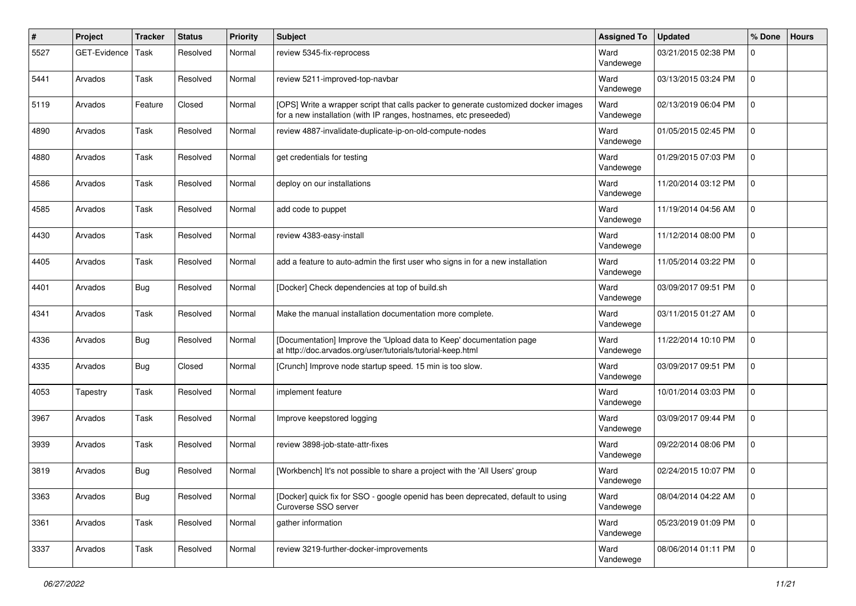| $\pmb{\#}$ | Project      | <b>Tracker</b> | <b>Status</b> | <b>Priority</b> | <b>Subject</b>                                                                                                                                           | <b>Assigned To</b> | <b>Updated</b>      | % Done      | <b>Hours</b> |
|------------|--------------|----------------|---------------|-----------------|----------------------------------------------------------------------------------------------------------------------------------------------------------|--------------------|---------------------|-------------|--------------|
| 5527       | GET-Evidence | Task           | Resolved      | Normal          | review 5345-fix-reprocess                                                                                                                                | Ward<br>Vandewege  | 03/21/2015 02:38 PM | $\Omega$    |              |
| 5441       | Arvados      | Task           | Resolved      | Normal          | review 5211-improved-top-navbar                                                                                                                          | Ward<br>Vandewege  | 03/13/2015 03:24 PM | 0           |              |
| 5119       | Arvados      | Feature        | Closed        | Normal          | [OPS] Write a wrapper script that calls packer to generate customized docker images<br>for a new installation (with IP ranges, hostnames, etc preseeded) | Ward<br>Vandewege  | 02/13/2019 06:04 PM | 0           |              |
| 4890       | Arvados      | Task           | Resolved      | Normal          | review 4887-invalidate-duplicate-ip-on-old-compute-nodes                                                                                                 | Ward<br>Vandewege  | 01/05/2015 02:45 PM | $\mathbf 0$ |              |
| 4880       | Arvados      | Task           | Resolved      | Normal          | get credentials for testing                                                                                                                              | Ward<br>Vandewege  | 01/29/2015 07:03 PM | $\Omega$    |              |
| 4586       | Arvados      | Task           | Resolved      | Normal          | deploy on our installations                                                                                                                              | Ward<br>Vandewege  | 11/20/2014 03:12 PM | $\mathbf 0$ |              |
| 4585       | Arvados      | Task           | Resolved      | Normal          | add code to puppet                                                                                                                                       | Ward<br>Vandewege  | 11/19/2014 04:56 AM | $\mathbf 0$ |              |
| 4430       | Arvados      | Task           | Resolved      | Normal          | review 4383-easy-install                                                                                                                                 | Ward<br>Vandewege  | 11/12/2014 08:00 PM | $\Omega$    |              |
| 4405       | Arvados      | Task           | Resolved      | Normal          | add a feature to auto-admin the first user who signs in for a new installation                                                                           | Ward<br>Vandewege  | 11/05/2014 03:22 PM | 0           |              |
| 4401       | Arvados      | <b>Bug</b>     | Resolved      | Normal          | [Docker] Check dependencies at top of build.sh                                                                                                           | Ward<br>Vandewege  | 03/09/2017 09:51 PM | $\mathbf 0$ |              |
| 4341       | Arvados      | Task           | Resolved      | Normal          | Make the manual installation documentation more complete.                                                                                                | Ward<br>Vandewege  | 03/11/2015 01:27 AM | $\mathbf 0$ |              |
| 4336       | Arvados      | <b>Bug</b>     | Resolved      | Normal          | [Documentation] Improve the 'Upload data to Keep' documentation page<br>at http://doc.arvados.org/user/tutorials/tutorial-keep.html                      | Ward<br>Vandewege  | 11/22/2014 10:10 PM | 0           |              |
| 4335       | Arvados      | <b>Bug</b>     | Closed        | Normal          | [Crunch] Improve node startup speed. 15 min is too slow.                                                                                                 | Ward<br>Vandewege  | 03/09/2017 09:51 PM | $\mathbf 0$ |              |
| 4053       | Tapestry     | Task           | Resolved      | Normal          | implement feature                                                                                                                                        | Ward<br>Vandewege  | 10/01/2014 03:03 PM | $\mathbf 0$ |              |
| 3967       | Arvados      | Task           | Resolved      | Normal          | Improve keepstored logging                                                                                                                               | Ward<br>Vandewege  | 03/09/2017 09:44 PM | $\Omega$    |              |
| 3939       | Arvados      | Task           | Resolved      | Normal          | review 3898-job-state-attr-fixes                                                                                                                         | Ward<br>Vandewege  | 09/22/2014 08:06 PM | 0           |              |
| 3819       | Arvados      | <b>Bug</b>     | Resolved      | Normal          | [Workbench] It's not possible to share a project with the 'All Users' group                                                                              | Ward<br>Vandewege  | 02/24/2015 10:07 PM | 0           |              |
| 3363       | Arvados      | <b>Bug</b>     | Resolved      | Normal          | [Docker] quick fix for SSO - google openid has been deprecated, default to using<br>Curoverse SSO server                                                 | Ward<br>Vandewege  | 08/04/2014 04:22 AM | l 0         |              |
| 3361       | Arvados      | Task           | Resolved      | Normal          | gather information                                                                                                                                       | Ward<br>Vandewege  | 05/23/2019 01:09 PM | $\mathbf 0$ |              |
| 3337       | Arvados      | Task           | Resolved      | Normal          | review 3219-further-docker-improvements                                                                                                                  | Ward<br>Vandewege  | 08/06/2014 01:11 PM | $\mathbf 0$ |              |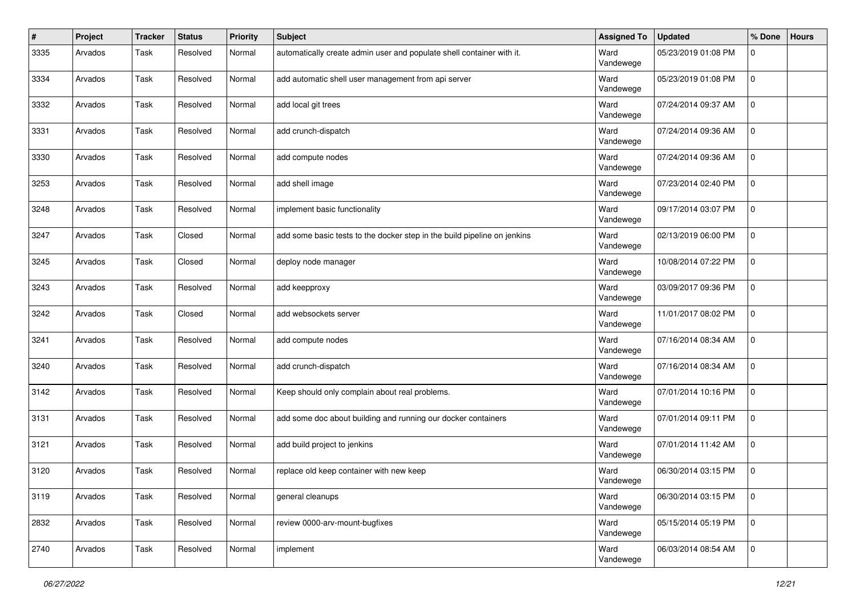| $\pmb{\#}$ | Project | <b>Tracker</b> | <b>Status</b> | <b>Priority</b> | Subject                                                                  | <b>Assigned To</b> | <b>Updated</b>      | % Done      | <b>Hours</b> |
|------------|---------|----------------|---------------|-----------------|--------------------------------------------------------------------------|--------------------|---------------------|-------------|--------------|
| 3335       | Arvados | Task           | Resolved      | Normal          | automatically create admin user and populate shell container with it.    | Ward<br>Vandewege  | 05/23/2019 01:08 PM | $\Omega$    |              |
| 3334       | Arvados | Task           | Resolved      | Normal          | add automatic shell user management from api server                      | Ward<br>Vandewege  | 05/23/2019 01:08 PM | $\mathbf 0$ |              |
| 3332       | Arvados | Task           | Resolved      | Normal          | add local git trees                                                      | Ward<br>Vandewege  | 07/24/2014 09:37 AM | $\mathbf 0$ |              |
| 3331       | Arvados | Task           | Resolved      | Normal          | add crunch-dispatch                                                      | Ward<br>Vandewege  | 07/24/2014 09:36 AM | $\mathbf 0$ |              |
| 3330       | Arvados | Task           | Resolved      | Normal          | add compute nodes                                                        | Ward<br>Vandewege  | 07/24/2014 09:36 AM | 0           |              |
| 3253       | Arvados | Task           | Resolved      | Normal          | add shell image                                                          | Ward<br>Vandewege  | 07/23/2014 02:40 PM | $\mathbf 0$ |              |
| 3248       | Arvados | Task           | Resolved      | Normal          | implement basic functionality                                            | Ward<br>Vandewege  | 09/17/2014 03:07 PM | $\mathbf 0$ |              |
| 3247       | Arvados | Task           | Closed        | Normal          | add some basic tests to the docker step in the build pipeline on jenkins | Ward<br>Vandewege  | 02/13/2019 06:00 PM | $\mathbf 0$ |              |
| 3245       | Arvados | Task           | Closed        | Normal          | deploy node manager                                                      | Ward<br>Vandewege  | 10/08/2014 07:22 PM | 0           |              |
| 3243       | Arvados | Task           | Resolved      | Normal          | add keepproxy                                                            | Ward<br>Vandewege  | 03/09/2017 09:36 PM | $\mathbf 0$ |              |
| 3242       | Arvados | Task           | Closed        | Normal          | add websockets server                                                    | Ward<br>Vandewege  | 11/01/2017 08:02 PM | $\mathbf 0$ |              |
| 3241       | Arvados | Task           | Resolved      | Normal          | add compute nodes                                                        | Ward<br>Vandewege  | 07/16/2014 08:34 AM | 0           |              |
| 3240       | Arvados | Task           | Resolved      | Normal          | add crunch-dispatch                                                      | Ward<br>Vandewege  | 07/16/2014 08:34 AM | $\mathbf 0$ |              |
| 3142       | Arvados | Task           | Resolved      | Normal          | Keep should only complain about real problems.                           | Ward<br>Vandewege  | 07/01/2014 10:16 PM | $\mathbf 0$ |              |
| 3131       | Arvados | Task           | Resolved      | Normal          | add some doc about building and running our docker containers            | Ward<br>Vandewege  | 07/01/2014 09:11 PM | $\mathbf 0$ |              |
| 3121       | Arvados | Task           | Resolved      | Normal          | add build project to jenkins                                             | Ward<br>Vandewege  | 07/01/2014 11:42 AM | 0           |              |
| 3120       | Arvados | Task           | Resolved      | Normal          | replace old keep container with new keep                                 | Ward<br>Vandewege  | 06/30/2014 03:15 PM | $\mathbf 0$ |              |
| 3119       | Arvados | Task           | Resolved      | Normal          | general cleanups                                                         | Ward<br>Vandewege  | 06/30/2014 03:15 PM | l 0         |              |
| 2832       | Arvados | Task           | Resolved      | Normal          | review 0000-arv-mount-bugfixes                                           | Ward<br>Vandewege  | 05/15/2014 05:19 PM | $\mathbf 0$ |              |
| 2740       | Arvados | Task           | Resolved      | Normal          | implement                                                                | Ward<br>Vandewege  | 06/03/2014 08:54 AM | $\mathbf 0$ |              |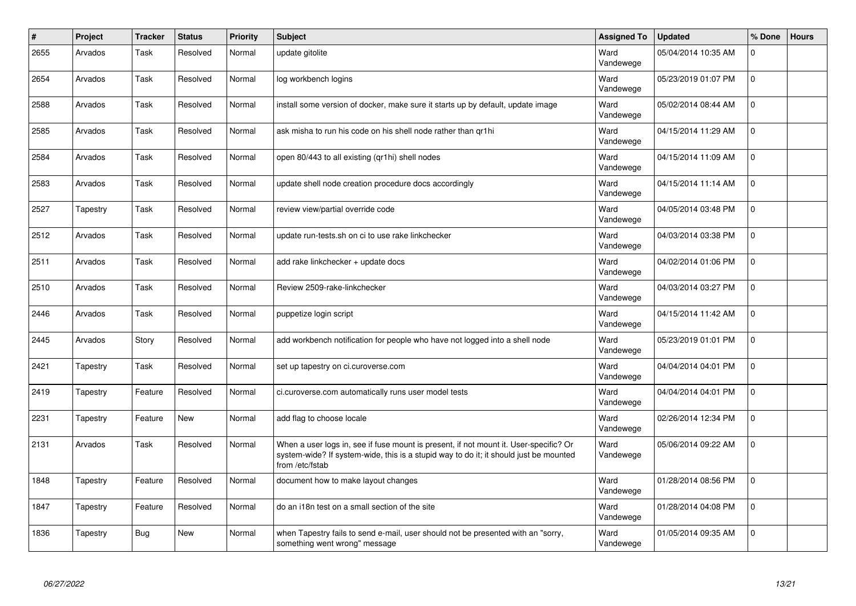| #    | Project  | Tracker    | <b>Status</b> | <b>Priority</b> | <b>Subject</b>                                                                                                                                                                                    | <b>Assigned To</b> | <b>Updated</b>      | % Done      | <b>Hours</b> |
|------|----------|------------|---------------|-----------------|---------------------------------------------------------------------------------------------------------------------------------------------------------------------------------------------------|--------------------|---------------------|-------------|--------------|
| 2655 | Arvados  | Task       | Resolved      | Normal          | update gitolite                                                                                                                                                                                   | Ward<br>Vandewege  | 05/04/2014 10:35 AM | $\mathbf 0$ |              |
| 2654 | Arvados  | Task       | Resolved      | Normal          | log workbench logins                                                                                                                                                                              | Ward<br>Vandewege  | 05/23/2019 01:07 PM | $\mathbf 0$ |              |
| 2588 | Arvados  | Task       | Resolved      | Normal          | install some version of docker, make sure it starts up by default, update image                                                                                                                   | Ward<br>Vandewege  | 05/02/2014 08:44 AM | $\mathbf 0$ |              |
| 2585 | Arvados  | Task       | Resolved      | Normal          | ask misha to run his code on his shell node rather than qr1hi                                                                                                                                     | Ward<br>Vandewege  | 04/15/2014 11:29 AM | $\mathbf 0$ |              |
| 2584 | Arvados  | Task       | Resolved      | Normal          | open 80/443 to all existing (qr1hi) shell nodes                                                                                                                                                   | Ward<br>Vandewege  | 04/15/2014 11:09 AM | $\mathbf 0$ |              |
| 2583 | Arvados  | Task       | Resolved      | Normal          | update shell node creation procedure docs accordingly                                                                                                                                             | Ward<br>Vandewege  | 04/15/2014 11:14 AM | $\Omega$    |              |
| 2527 | Tapestry | Task       | Resolved      | Normal          | review view/partial override code                                                                                                                                                                 | Ward<br>Vandewege  | 04/05/2014 03:48 PM | $\mathbf 0$ |              |
| 2512 | Arvados  | Task       | Resolved      | Normal          | update run-tests.sh on ci to use rake linkchecker                                                                                                                                                 | Ward<br>Vandewege  | 04/03/2014 03:38 PM | $\mathbf 0$ |              |
| 2511 | Arvados  | Task       | Resolved      | Normal          | add rake linkchecker + update docs                                                                                                                                                                | Ward<br>Vandewege  | 04/02/2014 01:06 PM | $\mathbf 0$ |              |
| 2510 | Arvados  | Task       | Resolved      | Normal          | Review 2509-rake-linkchecker                                                                                                                                                                      | Ward<br>Vandewege  | 04/03/2014 03:27 PM | $\mathbf 0$ |              |
| 2446 | Arvados  | Task       | Resolved      | Normal          | puppetize login script                                                                                                                                                                            | Ward<br>Vandewege  | 04/15/2014 11:42 AM | $\mathbf 0$ |              |
| 2445 | Arvados  | Story      | Resolved      | Normal          | add workbench notification for people who have not logged into a shell node                                                                                                                       | Ward<br>Vandewege  | 05/23/2019 01:01 PM | $\mathbf 0$ |              |
| 2421 | Tapestry | Task       | Resolved      | Normal          | set up tapestry on ci.curoverse.com                                                                                                                                                               | Ward<br>Vandewege  | 04/04/2014 04:01 PM | $\mathbf 0$ |              |
| 2419 | Tapestry | Feature    | Resolved      | Normal          | ci.curoverse.com automatically runs user model tests                                                                                                                                              | Ward<br>Vandewege  | 04/04/2014 04:01 PM | $\Omega$    |              |
| 2231 | Tapestry | Feature    | <b>New</b>    | Normal          | add flag to choose locale                                                                                                                                                                         | Ward<br>Vandewege  | 02/26/2014 12:34 PM | $\mathbf 0$ |              |
| 2131 | Arvados  | Task       | Resolved      | Normal          | When a user logs in, see if fuse mount is present, if not mount it. User-specific? Or<br>system-wide? If system-wide, this is a stupid way to do it; it should just be mounted<br>from /etc/fstab | Ward<br>Vandewege  | 05/06/2014 09:22 AM | $\mathsf 0$ |              |
| 1848 | Tapestry | Feature    | Resolved      | Normal          | document how to make layout changes                                                                                                                                                               | Ward<br>Vandewege  | 01/28/2014 08:56 PM | $\pmb{0}$   |              |
| 1847 | Tapestry | Feature    | Resolved      | Normal          | do an i18n test on a small section of the site                                                                                                                                                    | Ward<br>Vandewege  | 01/28/2014 04:08 PM | $\mathsf 0$ |              |
| 1836 | Tapestry | <b>Bug</b> | <b>New</b>    | Normal          | when Tapestry fails to send e-mail, user should not be presented with an "sorry,<br>something went wrong" message                                                                                 | Ward<br>Vandewege  | 01/05/2014 09:35 AM | $\mathbf 0$ |              |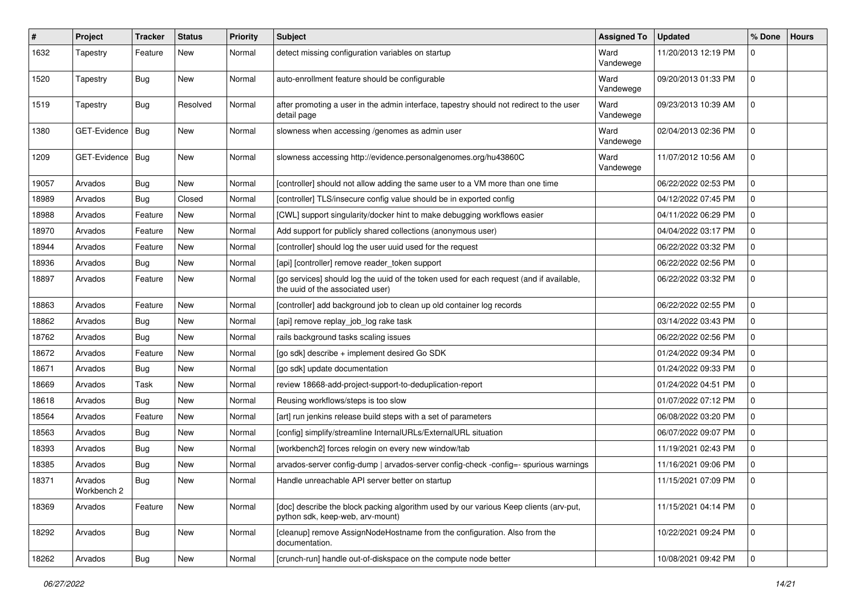| #     | Project                | Tracker    | <b>Status</b> | <b>Priority</b> | <b>Subject</b>                                                                                                              | <b>Assigned To</b> | <b>Updated</b>      | % Done         | <b>Hours</b> |
|-------|------------------------|------------|---------------|-----------------|-----------------------------------------------------------------------------------------------------------------------------|--------------------|---------------------|----------------|--------------|
| 1632  | Tapestry               | Feature    | New           | Normal          | detect missing configuration variables on startup                                                                           | Ward<br>Vandewege  | 11/20/2013 12:19 PM | $\mathbf 0$    |              |
| 1520  | Tapestry               | <b>Bug</b> | New           | Normal          | auto-enrollment feature should be configurable                                                                              | Ward<br>Vandewege  | 09/20/2013 01:33 PM | $\mathbf 0$    |              |
| 1519  | Tapestry               | Bug        | Resolved      | Normal          | after promoting a user in the admin interface, tapestry should not redirect to the user<br>detail page                      | Ward<br>Vandewege  | 09/23/2013 10:39 AM | $\mathbf 0$    |              |
| 1380  | GET-Evidence   Bug     |            | New           | Normal          | slowness when accessing /genomes as admin user                                                                              | Ward<br>Vandewege  | 02/04/2013 02:36 PM | $\mathbf 0$    |              |
| 1209  | GET-Evidence   Bug     |            | New           | Normal          | slowness accessing http://evidence.personalgenomes.org/hu43860C                                                             | Ward<br>Vandewege  | 11/07/2012 10:56 AM | $\mathbf 0$    |              |
| 19057 | Arvados                | <b>Bug</b> | New           | Normal          | [controller] should not allow adding the same user to a VM more than one time                                               |                    | 06/22/2022 02:53 PM | $\mathbf 0$    |              |
| 18989 | Arvados                | <b>Bug</b> | Closed        | Normal          | [controller] TLS/insecure config value should be in exported config                                                         |                    | 04/12/2022 07:45 PM | $\mathbf 0$    |              |
| 18988 | Arvados                | Feature    | New           | Normal          | [CWL] support singularity/docker hint to make debugging workflows easier                                                    |                    | 04/11/2022 06:29 PM | 0              |              |
| 18970 | Arvados                | Feature    | New           | Normal          | Add support for publicly shared collections (anonymous user)                                                                |                    | 04/04/2022 03:17 PM | 0              |              |
| 18944 | Arvados                | Feature    | New           | Normal          | [controller] should log the user uuid used for the request                                                                  |                    | 06/22/2022 03:32 PM | $\mathbf 0$    |              |
| 18936 | Arvados                | <b>Bug</b> | New           | Normal          | [api] [controller] remove reader_token support                                                                              |                    | 06/22/2022 02:56 PM | $\mathbf 0$    |              |
| 18897 | Arvados                | Feature    | New           | Normal          | [go services] should log the uuid of the token used for each request (and if available,<br>the uuid of the associated user) |                    | 06/22/2022 03:32 PM | $\mathbf 0$    |              |
| 18863 | Arvados                | Feature    | New           | Normal          | [controller] add background job to clean up old container log records                                                       |                    | 06/22/2022 02:55 PM | $\mathbf 0$    |              |
| 18862 | Arvados                | <b>Bug</b> | New           | Normal          | [api] remove replay_job_log rake task                                                                                       |                    | 03/14/2022 03:43 PM | $\mathbf 0$    |              |
| 18762 | Arvados                | <b>Bug</b> | New           | Normal          | rails background tasks scaling issues                                                                                       |                    | 06/22/2022 02:56 PM | $\mathbf 0$    |              |
| 18672 | Arvados                | Feature    | New           | Normal          | [go sdk] describe + implement desired Go SDK                                                                                |                    | 01/24/2022 09:34 PM | $\mathbf 0$    |              |
| 18671 | Arvados                | <b>Bug</b> | New           | Normal          | [go sdk] update documentation                                                                                               |                    | 01/24/2022 09:33 PM | $\mathbf 0$    |              |
| 18669 | Arvados                | Task       | New           | Normal          | review 18668-add-project-support-to-deduplication-report                                                                    |                    | 01/24/2022 04:51 PM | $\mathbf 0$    |              |
| 18618 | Arvados                | <b>Bug</b> | New           | Normal          | Reusing workflows/steps is too slow                                                                                         |                    | 01/07/2022 07:12 PM | $\mathbf 0$    |              |
| 18564 | Arvados                | Feature    | New           | Normal          | [art] run jenkins release build steps with a set of parameters                                                              |                    | 06/08/2022 03:20 PM | $\mathbf 0$    |              |
| 18563 | Arvados                | <b>Bug</b> | New           | Normal          | [config] simplify/streamline InternalURLs/ExternalURL situation                                                             |                    | 06/07/2022 09:07 PM | $\mathbf 0$    |              |
| 18393 | Arvados                | <b>Bug</b> | New           | Normal          | [workbench2] forces relogin on every new window/tab                                                                         |                    | 11/19/2021 02:43 PM | $\mathbf 0$    |              |
| 18385 | Arvados                | Bug        | New           | Normal          | arvados-server config-dump   arvados-server config-check -config=- spurious warnings                                        |                    | 11/16/2021 09:06 PM | 0              |              |
| 18371 | Arvados<br>Workbench 2 | <b>Bug</b> | New           | Normal          | Handle unreachable API server better on startup                                                                             |                    | 11/15/2021 07:09 PM | $\mathbf 0$    |              |
| 18369 | Arvados                | Feature    | New           | Normal          | [doc] describe the block packing algorithm used by our various Keep clients (arv-put,<br>python sdk, keep-web, arv-mount)   |                    | 11/15/2021 04:14 PM | $\mathbf 0$    |              |
| 18292 | Arvados                | <b>Bug</b> | New           | Normal          | [cleanup] remove AssignNodeHostname from the configuration. Also from the<br>documentation.                                 |                    | 10/22/2021 09:24 PM | 0              |              |
| 18262 | Arvados                | <b>Bug</b> | New           | Normal          | [crunch-run] handle out-of-diskspace on the compute node better                                                             |                    | 10/08/2021 09:42 PM | $\overline{0}$ |              |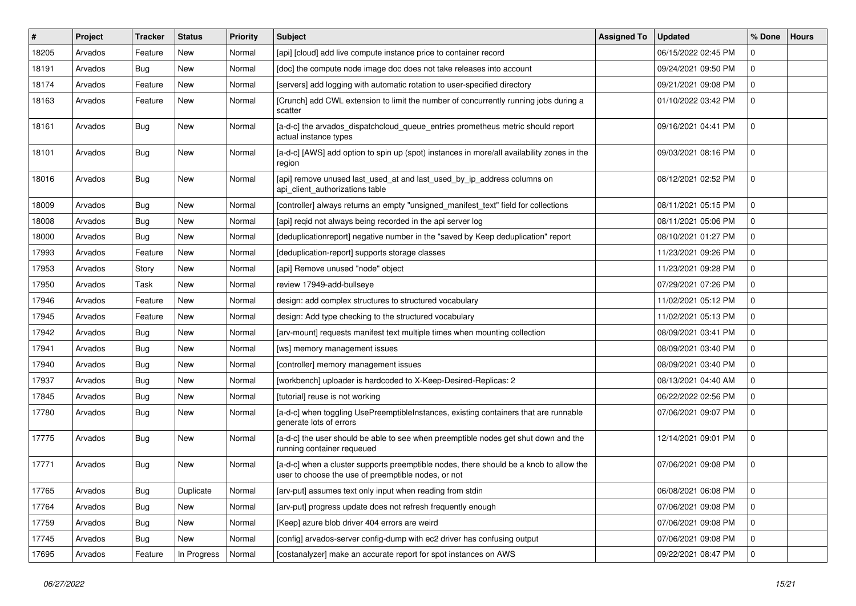| #     | Project | <b>Tracker</b> | <b>Status</b> | <b>Priority</b> | Subject                                                                                                                                       | <b>Assigned To</b> | <b>Updated</b>      | % Done      | <b>Hours</b> |
|-------|---------|----------------|---------------|-----------------|-----------------------------------------------------------------------------------------------------------------------------------------------|--------------------|---------------------|-------------|--------------|
| 18205 | Arvados | Feature        | New           | Normal          | [api] [cloud] add live compute instance price to container record                                                                             |                    | 06/15/2022 02:45 PM | ŋ           |              |
| 18191 | Arvados | Bug            | New           | Normal          | [doc] the compute node image doc does not take releases into account                                                                          |                    | 09/24/2021 09:50 PM | $\Omega$    |              |
| 18174 | Arvados | Feature        | New           | Normal          | [servers] add logging with automatic rotation to user-specified directory                                                                     |                    | 09/21/2021 09:08 PM | $\mathbf 0$ |              |
| 18163 | Arvados | Feature        | New           | Normal          | [Crunch] add CWL extension to limit the number of concurrently running jobs during a<br>scatter                                               |                    | 01/10/2022 03:42 PM | $\mathbf 0$ |              |
| 18161 | Arvados | Bug            | New           | Normal          | [a-d-c] the arvados_dispatchcloud_queue_entries prometheus metric should report<br>actual instance types                                      |                    | 09/16/2021 04:41 PM | $\Omega$    |              |
| 18101 | Arvados | Bug            | New           | Normal          | [a-d-c] [AWS] add option to spin up (spot) instances in more/all availability zones in the<br>region                                          |                    | 09/03/2021 08:16 PM | $\mathbf 0$ |              |
| 18016 | Arvados | <b>Bug</b>     | New           | Normal          | [api] remove unused last_used_at and last_used_by_ip_address columns on<br>api_client_authorizations table                                    |                    | 08/12/2021 02:52 PM | $\Omega$    |              |
| 18009 | Arvados | <b>Bug</b>     | New           | Normal          | [controller] always returns an empty "unsigned_manifest_text" field for collections                                                           |                    | 08/11/2021 05:15 PM | $\Omega$    |              |
| 18008 | Arvados | Bug            | New           | Normal          | [api] reqid not always being recorded in the api server log                                                                                   |                    | 08/11/2021 05:06 PM | $\Omega$    |              |
| 18000 | Arvados | <b>Bug</b>     | New           | Normal          | [deduplicationreport] negative number in the "saved by Keep deduplication" report                                                             |                    | 08/10/2021 01:27 PM | 0           |              |
| 17993 | Arvados | Feature        | New           | Normal          | [deduplication-report] supports storage classes                                                                                               |                    | 11/23/2021 09:26 PM | $\Omega$    |              |
| 17953 | Arvados | Story          | New           | Normal          | [api] Remove unused "node" object                                                                                                             |                    | 11/23/2021 09:28 PM | 0           |              |
| 17950 | Arvados | Task           | New           | Normal          | review 17949-add-bullseye                                                                                                                     |                    | 07/29/2021 07:26 PM | $\Omega$    |              |
| 17946 | Arvados | Feature        | New           | Normal          | design: add complex structures to structured vocabulary                                                                                       |                    | 11/02/2021 05:12 PM | $\Omega$    |              |
| 17945 | Arvados | Feature        | New           | Normal          | design: Add type checking to the structured vocabulary                                                                                        |                    | 11/02/2021 05:13 PM | $\mathbf 0$ |              |
| 17942 | Arvados | Bug            | New           | Normal          | [arv-mount] requests manifest text multiple times when mounting collection                                                                    |                    | 08/09/2021 03:41 PM | $\Omega$    |              |
| 17941 | Arvados | <b>Bug</b>     | New           | Normal          | [ws] memory management issues                                                                                                                 |                    | 08/09/2021 03:40 PM | 0           |              |
| 17940 | Arvados | <b>Bug</b>     | New           | Normal          | [controller] memory management issues                                                                                                         |                    | 08/09/2021 03:40 PM | $\Omega$    |              |
| 17937 | Arvados | Bug            | New           | Normal          | [workbench] uploader is hardcoded to X-Keep-Desired-Replicas: 2                                                                               |                    | 08/13/2021 04:40 AM | $\Omega$    |              |
| 17845 | Arvados | Bug            | New           | Normal          | [tutorial] reuse is not working                                                                                                               |                    | 06/22/2022 02:56 PM | 0           |              |
| 17780 | Arvados | Bug            | New           | Normal          | [a-d-c] when toggling UsePreemptibleInstances, existing containers that are runnable<br>generate lots of errors                               |                    | 07/06/2021 09:07 PM | $\Omega$    |              |
| 17775 | Arvados | Bug            | <b>New</b>    | Normal          | [a-d-c] the user should be able to see when preemptible nodes get shut down and the<br>running container requeued                             |                    | 12/14/2021 09:01 PM | $\mathbf 0$ |              |
| 17771 | Arvados | <b>Bug</b>     | <b>New</b>    | Normal          | [a-d-c] when a cluster supports preemptible nodes, there should be a knob to allow the<br>user to choose the use of preemptible nodes, or not |                    | 07/06/2021 09:08 PM | $\Omega$    |              |
| 17765 | Arvados | <b>Bug</b>     | Duplicate     | Normal          | [arv-put] assumes text only input when reading from stdin                                                                                     |                    | 06/08/2021 06:08 PM | 0           |              |
| 17764 | Arvados | Bug            | New           | Normal          | [arv-put] progress update does not refresh frequently enough                                                                                  |                    | 07/06/2021 09:08 PM | $\mathbf 0$ |              |
| 17759 | Arvados | Bug            | New           | Normal          | [Keep] azure blob driver 404 errors are weird                                                                                                 |                    | 07/06/2021 09:08 PM | $\mathbf 0$ |              |
| 17745 | Arvados | <b>Bug</b>     | New           | Normal          | [config] arvados-server config-dump with ec2 driver has confusing output                                                                      |                    | 07/06/2021 09:08 PM | $\mathbf 0$ |              |
| 17695 | Arvados | Feature        | In Progress   | Normal          | [costanalyzer] make an accurate report for spot instances on AWS                                                                              |                    | 09/22/2021 08:47 PM | 0           |              |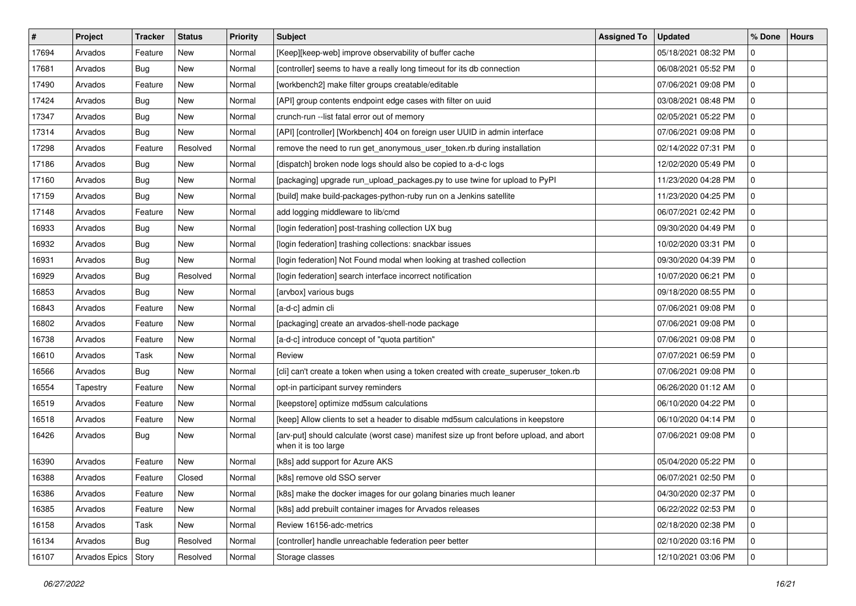| $\vert$ # | Project       | Tracker    | <b>Status</b> | Priority | Subject                                                                                                         | <b>Assigned To</b> | <b>Updated</b>      | % Done      | <b>Hours</b> |
|-----------|---------------|------------|---------------|----------|-----------------------------------------------------------------------------------------------------------------|--------------------|---------------------|-------------|--------------|
| 17694     | Arvados       | Feature    | New           | Normal   | [Keep][keep-web] improve observability of buffer cache                                                          |                    | 05/18/2021 08:32 PM | 0           |              |
| 17681     | Arvados       | Bug        | New           | Normal   | [controller] seems to have a really long timeout for its db connection                                          |                    | 06/08/2021 05:52 PM | 0           |              |
| 17490     | Arvados       | Feature    | New           | Normal   | [workbench2] make filter groups creatable/editable                                                              |                    | 07/06/2021 09:08 PM | $\mathbf 0$ |              |
| 17424     | Arvados       | <b>Bug</b> | New           | Normal   | [API] group contents endpoint edge cases with filter on uuid                                                    |                    | 03/08/2021 08:48 PM | $\mathbf 0$ |              |
| 17347     | Arvados       | <b>Bug</b> | <b>New</b>    | Normal   | crunch-run --list fatal error out of memory                                                                     |                    | 02/05/2021 05:22 PM | 0           |              |
| 17314     | Arvados       | <b>Bug</b> | New           | Normal   | [API] [controller] [Workbench] 404 on foreign user UUID in admin interface                                      |                    | 07/06/2021 09:08 PM | 0           |              |
| 17298     | Arvados       | Feature    | Resolved      | Normal   | remove the need to run get_anonymous_user_token.rb during installation                                          |                    | 02/14/2022 07:31 PM | $\Omega$    |              |
| 17186     | Arvados       | <b>Bug</b> | New           | Normal   | [dispatch] broken node logs should also be copied to a-d-c logs                                                 |                    | 12/02/2020 05:49 PM | $\Omega$    |              |
| 17160     | Arvados       | <b>Bug</b> | New           | Normal   | [packaging] upgrade run_upload_packages.py to use twine for upload to PyPI                                      |                    | 11/23/2020 04:28 PM | 0           |              |
| 17159     | Arvados       | <b>Bug</b> | New           | Normal   | [build] make build-packages-python-ruby run on a Jenkins satellite                                              |                    | 11/23/2020 04:25 PM | 0           |              |
| 17148     | Arvados       | Feature    | New           | Normal   | add logging middleware to lib/cmd                                                                               |                    | 06/07/2021 02:42 PM | 0           |              |
| 16933     | Arvados       | <b>Bug</b> | New           | Normal   | [login federation] post-trashing collection UX bug                                                              |                    | 09/30/2020 04:49 PM | $\Omega$    |              |
| 16932     | Arvados       | <b>Bug</b> | New           | Normal   | [login federation] trashing collections: snackbar issues                                                        |                    | 10/02/2020 03:31 PM | $\mathbf 0$ |              |
| 16931     | Arvados       | <b>Bug</b> | New           | Normal   | [login federation] Not Found modal when looking at trashed collection                                           |                    | 09/30/2020 04:39 PM | 0           |              |
| 16929     | Arvados       | Bug        | Resolved      | Normal   | [login federation] search interface incorrect notification                                                      |                    | 10/07/2020 06:21 PM | 0           |              |
| 16853     | Arvados       | <b>Bug</b> | New           | Normal   | [arvbox] various bugs                                                                                           |                    | 09/18/2020 08:55 PM | 0           |              |
| 16843     | Arvados       | Feature    | New           | Normal   | [a-d-c] admin cli                                                                                               |                    | 07/06/2021 09:08 PM | $\Omega$    |              |
| 16802     | Arvados       | Feature    | New           | Normal   | [packaging] create an arvados-shell-node package                                                                |                    | 07/06/2021 09:08 PM | $\mathbf 0$ |              |
| 16738     | Arvados       | Feature    | New           | Normal   | [a-d-c] introduce concept of "quota partition"                                                                  |                    | 07/06/2021 09:08 PM | 0           |              |
| 16610     | Arvados       | Task       | New           | Normal   | Review                                                                                                          |                    | 07/07/2021 06:59 PM | 0           |              |
| 16566     | Arvados       | <b>Bug</b> | New           | Normal   | [cli] can't create a token when using a token created with create_superuser_token.rb                            |                    | 07/06/2021 09:08 PM | $\mathbf 0$ |              |
| 16554     | Tapestry      | Feature    | New           | Normal   | opt-in participant survey reminders                                                                             |                    | 06/26/2020 01:12 AM | $\Omega$    |              |
| 16519     | Arvados       | Feature    | New           | Normal   | [keepstore] optimize md5sum calculations                                                                        |                    | 06/10/2020 04:22 PM | 0           |              |
| 16518     | Arvados       | Feature    | New           | Normal   | [keep] Allow clients to set a header to disable md5sum calculations in keepstore                                |                    | 06/10/2020 04:14 PM | 0           |              |
| 16426     | Arvados       | <b>Bug</b> | New           | Normal   | [arv-put] should calculate (worst case) manifest size up front before upload, and abort<br>when it is too large |                    | 07/06/2021 09:08 PM | $\mathbf 0$ |              |
| 16390     | Arvados       | Feature    | New           | Normal   | [k8s] add support for Azure AKS                                                                                 |                    | 05/04/2020 05:22 PM | $\Omega$    |              |
| 16388     | Arvados       | Feature    | Closed        | Normal   | [k8s] remove old SSO server                                                                                     |                    | 06/07/2021 02:50 PM | 0           |              |
| 16386     | Arvados       | Feature    | New           | Normal   | [k8s] make the docker images for our golang binaries much leaner                                                |                    | 04/30/2020 02:37 PM | 0           |              |
| 16385     | Arvados       | Feature    | New           | Normal   | [k8s] add prebuilt container images for Arvados releases                                                        |                    | 06/22/2022 02:53 PM | $\mathbf 0$ |              |
| 16158     | Arvados       | Task       | New           | Normal   | Review 16156-adc-metrics                                                                                        |                    | 02/18/2020 02:38 PM | $\mathbf 0$ |              |
| 16134     | Arvados       | <b>Bug</b> | Resolved      | Normal   | [controller] handle unreachable federation peer better                                                          |                    | 02/10/2020 03:16 PM | 0           |              |
| 16107     | Arvados Epics | Story      | Resolved      | Normal   | Storage classes                                                                                                 |                    | 12/10/2021 03:06 PM | 0           |              |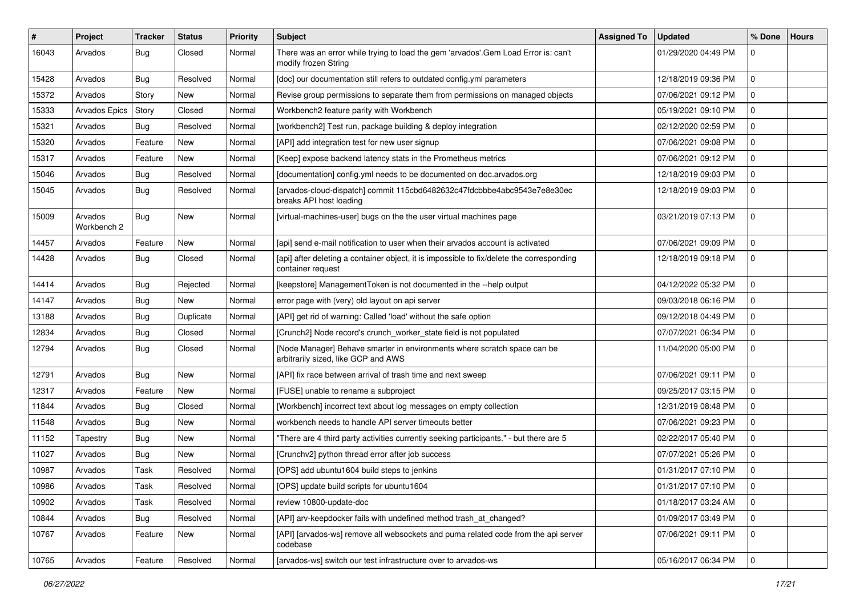| ∦     | Project                | <b>Tracker</b> | <b>Status</b> | <b>Priority</b> | Subject                                                                                                         | <b>Assigned To</b> | <b>Updated</b>      | % Done      | <b>Hours</b> |
|-------|------------------------|----------------|---------------|-----------------|-----------------------------------------------------------------------------------------------------------------|--------------------|---------------------|-------------|--------------|
| 16043 | Arvados                | <b>Bug</b>     | Closed        | Normal          | There was an error while trying to load the gem 'arvados'.Gem Load Error is: can't<br>modify frozen String      |                    | 01/29/2020 04:49 PM | 0           |              |
| 15428 | Arvados                | <b>Bug</b>     | Resolved      | Normal          | [doc] our documentation still refers to outdated config.yml parameters                                          |                    | 12/18/2019 09:36 PM | $\mathbf 0$ |              |
| 15372 | Arvados                | Story          | New           | Normal          | Revise group permissions to separate them from permissions on managed objects                                   |                    | 07/06/2021 09:12 PM | $\mathbf 0$ |              |
| 15333 | <b>Arvados Epics</b>   | Story          | Closed        | Normal          | Workbench2 feature parity with Workbench                                                                        |                    | 05/19/2021 09:10 PM | $\mathbf 0$ |              |
| 15321 | Arvados                | <b>Bug</b>     | Resolved      | Normal          | [workbench2] Test run, package building & deploy integration                                                    |                    | 02/12/2020 02:59 PM | $\mathbf 0$ |              |
| 15320 | Arvados                | Feature        | New           | Normal          | [API] add integration test for new user signup                                                                  |                    | 07/06/2021 09:08 PM | $\mathbf 0$ |              |
| 15317 | Arvados                | Feature        | New           | Normal          | [Keep] expose backend latency stats in the Prometheus metrics                                                   |                    | 07/06/2021 09:12 PM | $\mathbf 0$ |              |
| 15046 | Arvados                | <b>Bug</b>     | Resolved      | Normal          | [documentation] config.yml needs to be documented on doc.arvados.org                                            |                    | 12/18/2019 09:03 PM | $\mathbf 0$ |              |
| 15045 | Arvados                | Bug            | Resolved      | Normal          | [arvados-cloud-dispatch] commit 115cbd6482632c47fdcbbbe4abc9543e7e8e30ec<br>breaks API host loading             |                    | 12/18/2019 09:03 PM | $\mathbf 0$ |              |
| 15009 | Arvados<br>Workbench 2 | <b>Bug</b>     | New           | Normal          | [virtual-machines-user] bugs on the the user virtual machines page                                              |                    | 03/21/2019 07:13 PM | $\mathbf 0$ |              |
| 14457 | Arvados                | Feature        | New           | Normal          | [api] send e-mail notification to user when their arvados account is activated                                  |                    | 07/06/2021 09:09 PM | $\mathbf 0$ |              |
| 14428 | Arvados                | <b>Bug</b>     | Closed        | Normal          | [api] after deleting a container object, it is impossible to fix/delete the corresponding<br>container request  |                    | 12/18/2019 09:18 PM | $\mathbf 0$ |              |
| 14414 | Arvados                | <b>Bug</b>     | Rejected      | Normal          | [keepstore] ManagementToken is not documented in the --help output                                              |                    | 04/12/2022 05:32 PM | $\Omega$    |              |
| 14147 | Arvados                | <b>Bug</b>     | New           | Normal          | error page with (very) old layout on api server                                                                 |                    | 09/03/2018 06:16 PM | $\mathbf 0$ |              |
| 13188 | Arvados                | <b>Bug</b>     | Duplicate     | Normal          | [API] get rid of warning: Called 'load' without the safe option                                                 |                    | 09/12/2018 04:49 PM | $\mathbf 0$ |              |
| 12834 | Arvados                | <b>Bug</b>     | Closed        | Normal          | [Crunch2] Node record's crunch_worker_state field is not populated                                              |                    | 07/07/2021 06:34 PM | $\mathbf 0$ |              |
| 12794 | Arvados                | <b>Bug</b>     | Closed        | Normal          | [Node Manager] Behave smarter in environments where scratch space can be<br>arbitrarily sized, like GCP and AWS |                    | 11/04/2020 05:00 PM | $\mathbf 0$ |              |
| 12791 | Arvados                | <b>Bug</b>     | New           | Normal          | [API] fix race between arrival of trash time and next sweep                                                     |                    | 07/06/2021 09:11 PM | l o         |              |
| 12317 | Arvados                | Feature        | New           | Normal          | [FUSE] unable to rename a subproject                                                                            |                    | 09/25/2017 03:15 PM | $\mathbf 0$ |              |
| 11844 | Arvados                | <b>Bug</b>     | Closed        | Normal          | [Workbench] incorrect text about log messages on empty collection                                               |                    | 12/31/2019 08:48 PM | $\mathbf 0$ |              |
| 11548 | Arvados                | Bug            | New           | Normal          | workbench needs to handle API server timeouts better                                                            |                    | 07/06/2021 09:23 PM | $\mathbf 0$ |              |
| 11152 | Tapestry               | <b>Bug</b>     | New           | Normal          | "There are 4 third party activities currently seeking participants." - but there are 5                          |                    | 02/22/2017 05:40 PM | $\mathbf 0$ |              |
| 11027 | Arvados                | <b>Bug</b>     | New           | Normal          | [Crunchv2] python thread error after job success                                                                |                    | 07/07/2021 05:26 PM | $\mathbf 0$ |              |
| 10987 | Arvados                | Task           | Resolved      | Normal          | [OPS] add ubuntu1604 build steps to jenkins                                                                     |                    | 01/31/2017 07:10 PM | $\mathbf 0$ |              |
| 10986 | Arvados                | Task           | Resolved      | Normal          | [OPS] update build scripts for ubuntu1604                                                                       |                    | 01/31/2017 07:10 PM | $\pmb{0}$   |              |
| 10902 | Arvados                | Task           | Resolved      | Normal          | review 10800-update-doc                                                                                         |                    | 01/18/2017 03:24 AM | $\mathbf 0$ |              |
| 10844 | Arvados                | <b>Bug</b>     | Resolved      | Normal          | [API] arv-keepdocker fails with undefined method trash at changed?                                              |                    | 01/09/2017 03:49 PM | $\mathsf 0$ |              |
| 10767 | Arvados                | Feature        | New           | Normal          | [API] [arvados-ws] remove all websockets and puma related code from the api server<br>codebase                  |                    | 07/06/2021 09:11 PM | $\mathbf 0$ |              |
| 10765 | Arvados                | Feature        | Resolved      | Normal          | [arvados-ws] switch our test infrastructure over to arvados-ws                                                  |                    | 05/16/2017 06:34 PM | $\mathbf 0$ |              |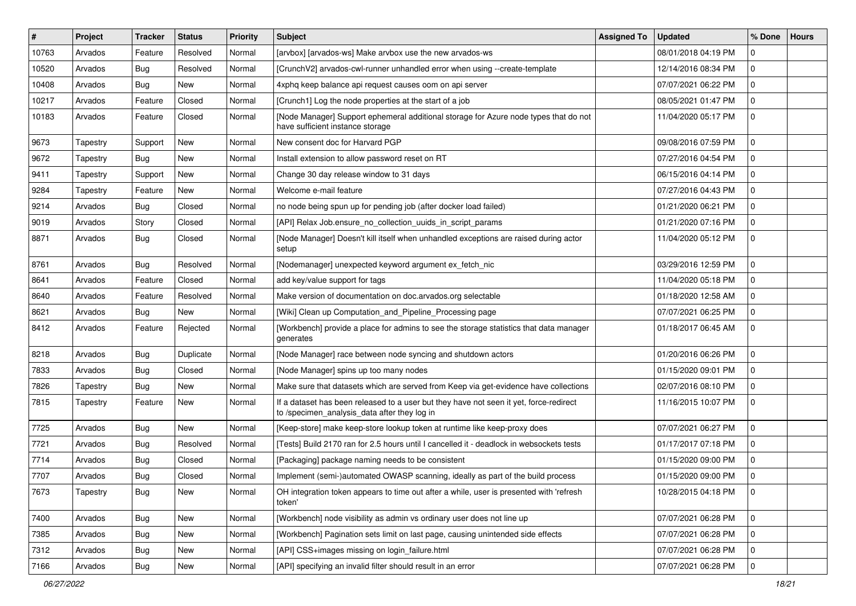| #     | Project  | Tracker    | <b>Status</b> | <b>Priority</b> | Subject                                                                                                                                | <b>Assigned To</b> | <b>Updated</b>      | % Done      | <b>Hours</b> |
|-------|----------|------------|---------------|-----------------|----------------------------------------------------------------------------------------------------------------------------------------|--------------------|---------------------|-------------|--------------|
| 10763 | Arvados  | Feature    | Resolved      | Normal          | [arvbox] [arvados-ws] Make arvbox use the new arvados-ws                                                                               |                    | 08/01/2018 04:19 PM | 0           |              |
| 10520 | Arvados  | <b>Bug</b> | Resolved      | Normal          | [CrunchV2] arvados-cwl-runner unhandled error when using --create-template                                                             |                    | 12/14/2016 08:34 PM | $\Omega$    |              |
| 10408 | Arvados  | Bug        | <b>New</b>    | Normal          | 4xphq keep balance api request causes oom on api server                                                                                |                    | 07/07/2021 06:22 PM | $\mathbf 0$ |              |
| 10217 | Arvados  | Feature    | Closed        | Normal          | [Crunch1] Log the node properties at the start of a job                                                                                |                    | 08/05/2021 01:47 PM | $\mathbf 0$ |              |
| 10183 | Arvados  | Feature    | Closed        | Normal          | [Node Manager] Support ephemeral additional storage for Azure node types that do not<br>have sufficient instance storage               |                    | 11/04/2020 05:17 PM | $\mathbf 0$ |              |
| 9673  | Tapestry | Support    | New           | Normal          | New consent doc for Harvard PGP                                                                                                        |                    | 09/08/2016 07:59 PM | $\Omega$    |              |
| 9672  | Tapestry | <b>Bug</b> | New           | Normal          | Install extension to allow password reset on RT                                                                                        |                    | 07/27/2016 04:54 PM | $\mathbf 0$ |              |
| 9411  | Tapestry | Support    | New           | Normal          | Change 30 day release window to 31 days                                                                                                |                    | 06/15/2016 04:14 PM | $\Omega$    |              |
| 9284  | Tapestry | Feature    | New           | Normal          | Welcome e-mail feature                                                                                                                 |                    | 07/27/2016 04:43 PM | 0           |              |
| 9214  | Arvados  | <b>Bug</b> | Closed        | Normal          | no node being spun up for pending job (after docker load failed)                                                                       |                    | 01/21/2020 06:21 PM | 0           |              |
| 9019  | Arvados  | Story      | Closed        | Normal          | [API] Relax Job.ensure_no_collection_uuids_in_script_params                                                                            |                    | 01/21/2020 07:16 PM | $\mathbf 0$ |              |
| 8871  | Arvados  | <b>Bug</b> | Closed        | Normal          | [Node Manager] Doesn't kill itself when unhandled exceptions are raised during actor<br>setup                                          |                    | 11/04/2020 05:12 PM | $\mathbf 0$ |              |
| 8761  | Arvados  | Bug        | Resolved      | Normal          | [Nodemanager] unexpected keyword argument ex_fetch_nic                                                                                 |                    | 03/29/2016 12:59 PM | $\Omega$    |              |
| 8641  | Arvados  | Feature    | Closed        | Normal          | add key/value support for tags                                                                                                         |                    | 11/04/2020 05:18 PM | $\mathbf 0$ |              |
| 8640  | Arvados  | Feature    | Resolved      | Normal          | Make version of documentation on doc.arvados.org selectable                                                                            |                    | 01/18/2020 12:58 AM | $\Omega$    |              |
| 8621  | Arvados  | Bug        | New           | Normal          | [Wiki] Clean up Computation_and_Pipeline_Processing page                                                                               |                    | 07/07/2021 06:25 PM | 0           |              |
| 8412  | Arvados  | Feature    | Rejected      | Normal          | [Workbench] provide a place for admins to see the storage statistics that data manager<br>generates                                    |                    | 01/18/2017 06:45 AM | 0           |              |
| 8218  | Arvados  | <b>Bug</b> | Duplicate     | Normal          | [Node Manager] race between node syncing and shutdown actors                                                                           |                    | 01/20/2016 06:26 PM | $\mathbf 0$ |              |
| 7833  | Arvados  | <b>Bug</b> | Closed        | Normal          | [Node Manager] spins up too many nodes                                                                                                 |                    | 01/15/2020 09:01 PM | 0           |              |
| 7826  | Tapestry | <b>Bug</b> | New           | Normal          | Make sure that datasets which are served from Keep via get-evidence have collections                                                   |                    | 02/07/2016 08:10 PM | 0           |              |
| 7815  | Tapestry | Feature    | New           | Normal          | If a dataset has been released to a user but they have not seen it yet, force-redirect<br>to /specimen_analysis_data after they log in |                    | 11/16/2015 10:07 PM | $\mathbf 0$ |              |
| 7725  | Arvados  | Bug        | <b>New</b>    | Normal          | [Keep-store] make keep-store lookup token at runtime like keep-proxy does                                                              |                    | 07/07/2021 06:27 PM | 0           |              |
| 7721  | Arvados  | <b>Bug</b> | Resolved      | Normal          | [Tests] Build 2170 ran for 2.5 hours until I cancelled it - deadlock in websockets tests                                               |                    | 01/17/2017 07:18 PM | 0           |              |
| 7714  | Arvados  | Bug        | Closed        | Normal          | [Packaging] package naming needs to be consistent                                                                                      |                    | 01/15/2020 09:00 PM | 0           |              |
| 7707  | Arvados  | <b>Bug</b> | Closed        | Normal          | Implement (semi-)automated OWASP scanning, ideally as part of the build process                                                        |                    | 01/15/2020 09:00 PM | 0           |              |
| 7673  | Tapestry | <b>Bug</b> | New           | Normal          | OH integration token appears to time out after a while, user is presented with 'refresh<br>token'                                      |                    | 10/28/2015 04:18 PM | 0           |              |
| 7400  | Arvados  | <b>Bug</b> | New           | Normal          | [Workbench] node visibility as admin vs ordinary user does not line up                                                                 |                    | 07/07/2021 06:28 PM | $\mathbf 0$ |              |
| 7385  | Arvados  | Bug        | New           | Normal          | [Workbench] Pagination sets limit on last page, causing unintended side effects                                                        |                    | 07/07/2021 06:28 PM | 0           |              |
| 7312  | Arvados  | <b>Bug</b> | New           | Normal          | [API] CSS+images missing on login_failure.html                                                                                         |                    | 07/07/2021 06:28 PM | $\mathbf 0$ |              |
| 7166  | Arvados  | <b>Bug</b> | New           | Normal          | [API] specifying an invalid filter should result in an error                                                                           |                    | 07/07/2021 06:28 PM | 0           |              |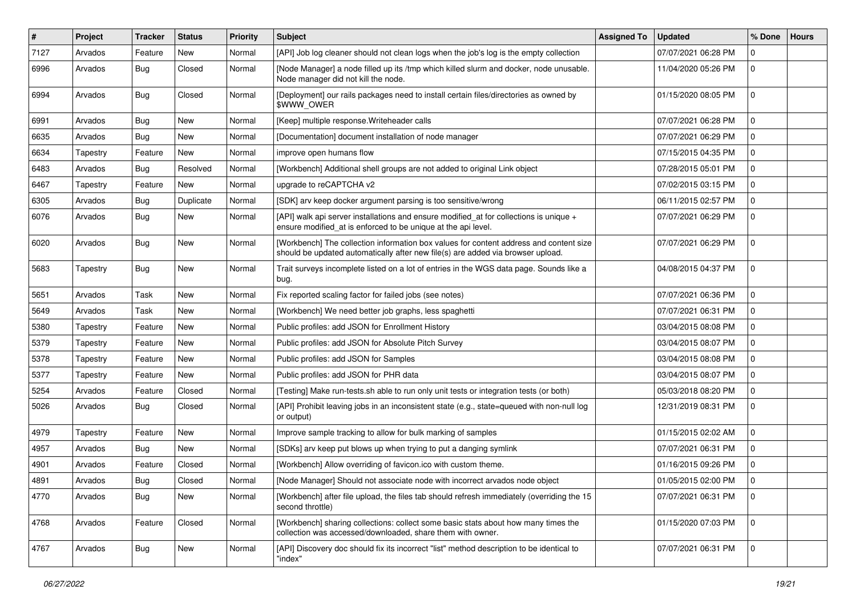| $\sharp$ | Project  | <b>Tracker</b> | <b>Status</b> | <b>Priority</b> | Subject                                                                                                                                                                   | <b>Assigned To</b> | <b>Updated</b>      | % Done      | <b>Hours</b> |
|----------|----------|----------------|---------------|-----------------|---------------------------------------------------------------------------------------------------------------------------------------------------------------------------|--------------------|---------------------|-------------|--------------|
| 7127     | Arvados  | Feature        | New           | Normal          | [API] Job log cleaner should not clean logs when the job's log is the empty collection                                                                                    |                    | 07/07/2021 06:28 PM | 0           |              |
| 6996     | Arvados  | <b>Bug</b>     | Closed        | Normal          | [Node Manager] a node filled up its /tmp which killed slurm and docker, node unusable.<br>Node manager did not kill the node.                                             |                    | 11/04/2020 05:26 PM | $\mathbf 0$ |              |
| 6994     | Arvados  | Bug            | Closed        | Normal          | [Deployment] our rails packages need to install certain files/directories as owned by<br>\$WWW_OWER                                                                       |                    | 01/15/2020 08:05 PM | $\Omega$    |              |
| 6991     | Arvados  | <b>Bug</b>     | New           | Normal          | [Keep] multiple response. Writeheader calls                                                                                                                               |                    | 07/07/2021 06:28 PM | $\Omega$    |              |
| 6635     | Arvados  | Bug            | New           | Normal          | [Documentation] document installation of node manager                                                                                                                     |                    | 07/07/2021 06:29 PM | $\Omega$    |              |
| 6634     | Tapestry | Feature        | New           | Normal          | improve open humans flow                                                                                                                                                  |                    | 07/15/2015 04:35 PM | 0           |              |
| 6483     | Arvados  | <b>Bug</b>     | Resolved      | Normal          | [Workbench] Additional shell groups are not added to original Link object                                                                                                 |                    | 07/28/2015 05:01 PM | 0           |              |
| 6467     | Tapestry | Feature        | New           | Normal          | upgrade to reCAPTCHA v2                                                                                                                                                   |                    | 07/02/2015 03:15 PM | $\Omega$    |              |
| 6305     | Arvados  | <b>Bug</b>     | Duplicate     | Normal          | [SDK] arv keep docker argument parsing is too sensitive/wrong                                                                                                             |                    | 06/11/2015 02:57 PM | $\mathbf 0$ |              |
| 6076     | Arvados  | <b>Bug</b>     | New           | Normal          | [API] walk api server installations and ensure modified_at for collections is unique +<br>ensure modified_at is enforced to be unique at the api level.                   |                    | 07/07/2021 06:29 PM | $\mathbf 0$ |              |
| 6020     | Arvados  | Bug            | New           | Normal          | [Workbench] The collection information box values for content address and content size<br>should be updated automatically after new file(s) are added via browser upload. |                    | 07/07/2021 06:29 PM | 0           |              |
| 5683     | Tapestry | Bug            | New           | Normal          | Trait surveys incomplete listed on a lot of entries in the WGS data page. Sounds like a<br>bug.                                                                           |                    | 04/08/2015 04:37 PM | $\mathbf 0$ |              |
| 5651     | Arvados  | Task           | <b>New</b>    | Normal          | Fix reported scaling factor for failed jobs (see notes)                                                                                                                   |                    | 07/07/2021 06:36 PM | $\mathbf 0$ |              |
| 5649     | Arvados  | Task           | New           | Normal          | [Workbench] We need better job graphs, less spaghetti                                                                                                                     |                    | 07/07/2021 06:31 PM | $\mathbf 0$ |              |
| 5380     | Tapestry | Feature        | New           | Normal          | Public profiles: add JSON for Enrollment History                                                                                                                          |                    | 03/04/2015 08:08 PM | 0           |              |
| 5379     | Tapestry | Feature        | New           | Normal          | Public profiles: add JSON for Absolute Pitch Survey                                                                                                                       |                    | 03/04/2015 08:07 PM | 0           |              |
| 5378     | Tapestry | Feature        | New           | Normal          | Public profiles: add JSON for Samples                                                                                                                                     |                    | 03/04/2015 08:08 PM | 0           |              |
| 5377     | Tapestry | Feature        | New           | Normal          | Public profiles: add JSON for PHR data                                                                                                                                    |                    | 03/04/2015 08:07 PM | $\Omega$    |              |
| 5254     | Arvados  | Feature        | Closed        | Normal          | [Testing] Make run-tests.sh able to run only unit tests or integration tests (or both)                                                                                    |                    | 05/03/2018 08:20 PM | 0           |              |
| 5026     | Arvados  | <b>Bug</b>     | Closed        | Normal          | [API] Prohibit leaving jobs in an inconsistent state (e.g., state=queued with non-null log<br>or output)                                                                  |                    | 12/31/2019 08:31 PM | $\Omega$    |              |
| 4979     | Tapestry | Feature        | New           | Normal          | Improve sample tracking to allow for bulk marking of samples                                                                                                              |                    | 01/15/2015 02:02 AM | $\mathbf 0$ |              |
| 4957     | Arvados  | <b>Bug</b>     | New           | Normal          | [SDKs] arv keep put blows up when trying to put a danging symlink                                                                                                         |                    | 07/07/2021 06:31 PM | 0           |              |
| 4901     | Arvados  | Feature        | Closed        | Normal          | [Workbench] Allow overriding of favicon.ico with custom theme.                                                                                                            |                    | 01/16/2015 09:26 PM | 0           |              |
| 4891     | Arvados  | Bug            | Closed        | Normal          | [Node Manager] Should not associate node with incorrect arvados node object                                                                                               |                    | 01/05/2015 02:00 PM | l 0         |              |
| 4770     | Arvados  | <b>Bug</b>     | New           | Normal          | [Workbench] after file upload, the files tab should refresh immediately (overriding the 15<br>second throttle)                                                            |                    | 07/07/2021 06:31 PM | l 0         |              |
| 4768     | Arvados  | Feature        | Closed        | Normal          | [Workbench] sharing collections: collect some basic stats about how many times the<br>collection was accessed/downloaded, share them with owner.                          |                    | 01/15/2020 07:03 PM | $\mathbf 0$ |              |
| 4767     | Arvados  | <b>Bug</b>     | New           | Normal          | [API] Discovery doc should fix its incorrect "list" method description to be identical to<br>"index"                                                                      |                    | 07/07/2021 06:31 PM | $\mathbf 0$ |              |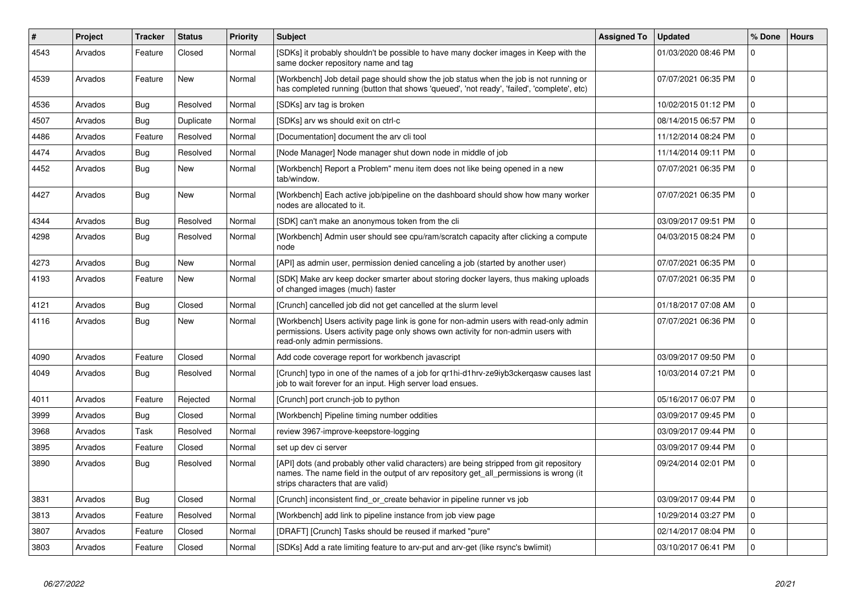| $\#$ | Project | <b>Tracker</b> | <b>Status</b> | <b>Priority</b> | <b>Subject</b>                                                                                                                                                                                                         | <b>Assigned To</b> | <b>Updated</b>      | % Done      | <b>Hours</b> |
|------|---------|----------------|---------------|-----------------|------------------------------------------------------------------------------------------------------------------------------------------------------------------------------------------------------------------------|--------------------|---------------------|-------------|--------------|
| 4543 | Arvados | Feature        | Closed        | Normal          | [SDKs] it probably shouldn't be possible to have many docker images in Keep with the<br>same docker repository name and tag                                                                                            |                    | 01/03/2020 08:46 PM | $\Omega$    |              |
| 4539 | Arvados | Feature        | New           | Normal          | [Workbench] Job detail page should show the job status when the job is not running or<br>has completed running (button that shows 'queued', 'not ready', 'failed', 'complete', etc)                                    |                    | 07/07/2021 06:35 PM | $\Omega$    |              |
| 4536 | Arvados | Bug            | Resolved      | Normal          | [SDKs] arv tag is broken                                                                                                                                                                                               |                    | 10/02/2015 01:12 PM | $\mathbf 0$ |              |
| 4507 | Arvados | Bug            | Duplicate     | Normal          | [SDKs] arv ws should exit on ctrl-c                                                                                                                                                                                    |                    | 08/14/2015 06:57 PM | $\Omega$    |              |
| 4486 | Arvados | Feature        | Resolved      | Normal          | [Documentation] document the arv cli tool                                                                                                                                                                              |                    | 11/12/2014 08:24 PM | $\mathbf 0$ |              |
| 4474 | Arvados | Bug            | Resolved      | Normal          | [Node Manager] Node manager shut down node in middle of job                                                                                                                                                            |                    | 11/14/2014 09:11 PM | $\mathbf 0$ |              |
| 4452 | Arvados | <b>Bug</b>     | New           | Normal          | [Workbench] Report a Problem" menu item does not like being opened in a new<br>tab/window.                                                                                                                             |                    | 07/07/2021 06:35 PM | $\mathbf 0$ |              |
| 4427 | Arvados | Bug            | New           | Normal          | [Workbench] Each active job/pipeline on the dashboard should show how many worker<br>nodes are allocated to it.                                                                                                        |                    | 07/07/2021 06:35 PM | $\Omega$    |              |
| 4344 | Arvados | Bug            | Resolved      | Normal          | [SDK] can't make an anonymous token from the cli                                                                                                                                                                       |                    | 03/09/2017 09:51 PM | $\mathbf 0$ |              |
| 4298 | Arvados | Bug            | Resolved      | Normal          | [Workbench] Admin user should see cpu/ram/scratch capacity after clicking a compute<br>node                                                                                                                            |                    | 04/03/2015 08:24 PM | $\mathbf 0$ |              |
| 4273 | Arvados | Bug            | New           | Normal          | [API] as admin user, permission denied canceling a job (started by another user)                                                                                                                                       |                    | 07/07/2021 06:35 PM | $\mathbf 0$ |              |
| 4193 | Arvados | Feature        | New           | Normal          | [SDK] Make arv keep docker smarter about storing docker layers, thus making uploads<br>of changed images (much) faster                                                                                                 |                    | 07/07/2021 06:35 PM | $\Omega$    |              |
| 4121 | Arvados | Bug            | Closed        | Normal          | [Crunch] cancelled job did not get cancelled at the slurm level                                                                                                                                                        |                    | 01/18/2017 07:08 AM | $\Omega$    |              |
| 4116 | Arvados | <b>Bug</b>     | New           | Normal          | [Workbench] Users activity page link is gone for non-admin users with read-only admin<br>permissions. Users activity page only shows own activity for non-admin users with<br>read-only admin permissions.             |                    | 07/07/2021 06:36 PM | $\mathbf 0$ |              |
| 4090 | Arvados | Feature        | Closed        | Normal          | Add code coverage report for workbench javascript                                                                                                                                                                      |                    | 03/09/2017 09:50 PM | $\Omega$    |              |
| 4049 | Arvados | Bug            | Resolved      | Normal          | [Crunch] typo in one of the names of a job for gr1hi-d1hrv-ze9iyb3ckergasw causes last<br>job to wait forever for an input. High server load ensues.                                                                   |                    | 10/03/2014 07:21 PM | $\Omega$    |              |
| 4011 | Arvados | Feature        | Rejected      | Normal          | [Crunch] port crunch-job to python                                                                                                                                                                                     |                    | 05/16/2017 06:07 PM | $\mathbf 0$ |              |
| 3999 | Arvados | Bug            | Closed        | Normal          | [Workbench] Pipeline timing number oddities                                                                                                                                                                            |                    | 03/09/2017 09:45 PM | $\mathbf 0$ |              |
| 3968 | Arvados | Task           | Resolved      | Normal          | review 3967-improve-keepstore-logging                                                                                                                                                                                  |                    | 03/09/2017 09:44 PM | $\Omega$    |              |
| 3895 | Arvados | Feature        | Closed        | Normal          | set up dev ci server                                                                                                                                                                                                   |                    | 03/09/2017 09:44 PM | 0           |              |
| 3890 | Arvados | <b>Bug</b>     | Resolved      | Normal          | [API] dots (and probably other valid characters) are being stripped from git repository<br>names. The name field in the output of arv repository get all permissions is wrong (it<br>strips characters that are valid) |                    | 09/24/2014 02:01 PM | $\Omega$    |              |
| 3831 | Arvados | Bug            | Closed        | Normal          | [Crunch] inconsistent find or create behavior in pipeline runner vs job                                                                                                                                                |                    | 03/09/2017 09:44 PM | $\Omega$    |              |
| 3813 | Arvados | Feature        | Resolved      | Normal          | [Workbench] add link to pipeline instance from job view page                                                                                                                                                           |                    | 10/29/2014 03:27 PM | 0           |              |
| 3807 | Arvados | Feature        | Closed        | Normal          | [DRAFT] [Crunch] Tasks should be reused if marked "pure"                                                                                                                                                               |                    | 02/14/2017 08:04 PM | $\mathbf 0$ |              |
| 3803 | Arvados | Feature        | Closed        | Normal          | [SDKs] Add a rate limiting feature to arv-put and arv-get (like rsync's bwlimit)                                                                                                                                       |                    | 03/10/2017 06:41 PM | $\mathbf 0$ |              |